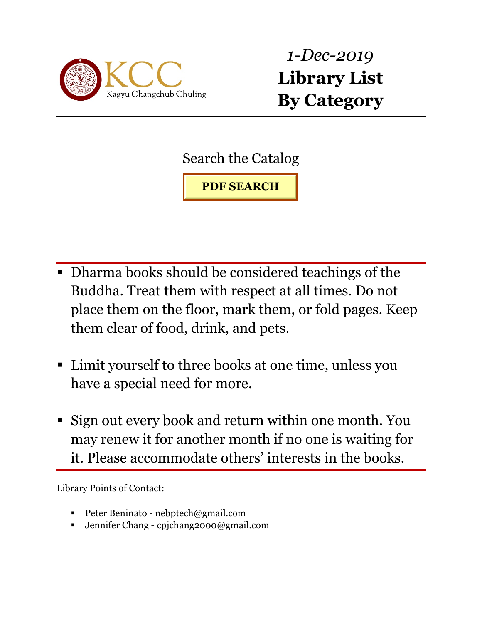

*1-Dec-2019* **Library List By Category** 

Search the Catalog

**PDF SEARCH**

- Dharma books should be considered teachings of the Buddha. Treat them with respect at all times. Do not place them on the floor, mark them, or fold pages. Keep them clear of food, drink, and pets.
- Limit yourself to three books at one time, unless you have a special need for more.
- Sign out every book and return within one month. You may renew it for another month if no one is waiting for it. Please accommodate others' interests in the books.

Library Points of Contact:

- Peter Beninato nebptech@gmail.com
- Jennifer Chang cpjchang2000@gmail.com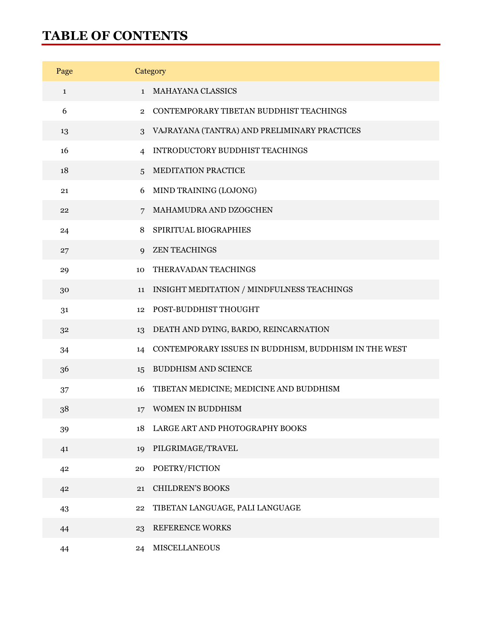#### **TABLE OF CONTENTS**

| Page         |                | Category                                              |
|--------------|----------------|-------------------------------------------------------|
| $\mathbf{1}$ | $\mathbf{1}$   | <b>MAHAYANA CLASSICS</b>                              |
| 6            | $\mathbf{2}$   | CONTEMPORARY TIBETAN BUDDHIST TEACHINGS               |
| 13           | 3              | VAJRAYANA (TANTRA) AND PRELIMINARY PRACTICES          |
| 16           | 4              | INTRODUCTORY BUDDHIST TEACHINGS                       |
| 18           | $\overline{5}$ | MEDITATION PRACTICE                                   |
| 21           | 6              | MIND TRAINING (LOJONG)                                |
| 22           | 7              | MAHAMUDRA AND DZOGCHEN                                |
| 24           | 8              | SPIRITUAL BIOGRAPHIES                                 |
| 27           | $\mathbf Q$    | <b>ZEN TEACHINGS</b>                                  |
| 29           | 10             | THERAVADAN TEACHINGS                                  |
| 30           | 11             | INSIGHT MEDITATION / MINDFULNESS TEACHINGS            |
| 31           | 12             | POST-BUDDHIST THOUGHT                                 |
| 32           | 13             | DEATH AND DYING, BARDO, REINCARNATION                 |
| 34           | 14             | CONTEMPORARY ISSUES IN BUDDHISM, BUDDHISM IN THE WEST |
| 36           | 15             | <b>BUDDHISM AND SCIENCE</b>                           |
| 37           | 16             | TIBETAN MEDICINE; MEDICINE AND BUDDHISM               |
| 38           | 17             | WOMEN IN BUDDHISM                                     |
| 39           | 18             | LARGE ART AND PHOTOGRAPHY BOOKS                       |
| 41           | 19             | PILGRIMAGE/TRAVEL                                     |
| 42           | 20             | POETRY/FICTION                                        |
| 42           | 21             | <b>CHILDREN'S BOOKS</b>                               |
| 43           | 22             | TIBETAN LANGUAGE, PALI LANGUAGE                       |
| 44           | 23             | REFERENCE WORKS                                       |
| 44           | 24             | <b>MISCELLANEOUS</b>                                  |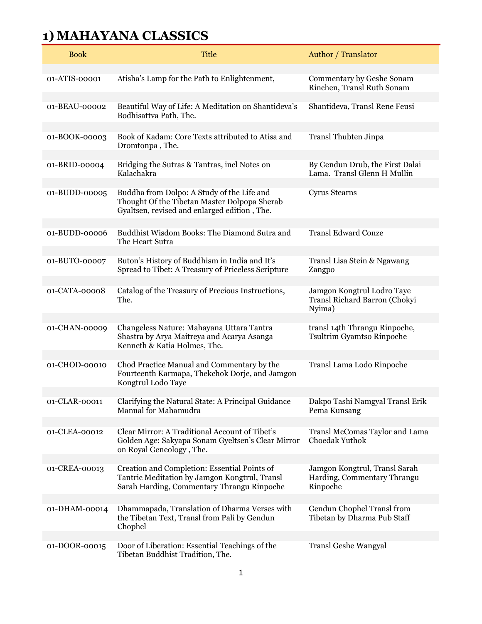| <b>Book</b>   | <b>Title</b>                                                                                                                                | <b>Author</b> / Translator                                               |
|---------------|---------------------------------------------------------------------------------------------------------------------------------------------|--------------------------------------------------------------------------|
| 01-ATIS-00001 | Atisha's Lamp for the Path to Enlightenment,                                                                                                | Commentary by Geshe Sonam<br>Rinchen, Transl Ruth Sonam                  |
| 01-BEAU-00002 | Beautiful Way of Life: A Meditation on Shantideva's<br>Bodhisattva Path, The.                                                               | Shantideva, Transl Rene Feusi                                            |
| 01-BOOK-00003 | Book of Kadam: Core Texts attributed to Atisa and<br>Dromtonpa, The.                                                                        | Transl Thubten Jinpa                                                     |
| 01-BRID-00004 | Bridging the Sutras & Tantras, incl Notes on<br>Kalachakra                                                                                  | By Gendun Drub, the First Dalai<br>Lama. Transl Glenn H Mullin           |
| 01-BUDD-00005 | Buddha from Dolpo: A Study of the Life and<br>Thought Of the Tibetan Master Dolpopa Sherab<br>Gyaltsen, revised and enlarged edition, The.  | <b>Cyrus Stearns</b>                                                     |
| 01-BUDD-00006 | Buddhist Wisdom Books: The Diamond Sutra and<br>The Heart Sutra                                                                             | <b>Transl Edward Conze</b>                                               |
| 01-BUTO-00007 | Buton's History of Buddhism in India and It's<br>Spread to Tibet: A Treasury of Priceless Scripture                                         | Transl Lisa Stein & Ngawang<br>Zangpo                                    |
| 01-CATA-00008 | Catalog of the Treasury of Precious Instructions,<br>The.                                                                                   | Jamgon Kongtrul Lodro Taye<br>Transl Richard Barron (Chokyi<br>Nyima)    |
| 01-CHAN-00009 | Changeless Nature: Mahayana Uttara Tantra<br>Shastra by Arya Maitreya and Acarya Asanga<br>Kenneth & Katia Holmes, The.                     | transl 14th Thrangu Rinpoche,<br>Tsultrim Gyamtso Rinpoche               |
| 01-CHOD-00010 | Chod Practice Manual and Commentary by the<br>Fourteenth Karmapa, Thekchok Dorje, and Jamgon<br>Kongtrul Lodo Taye                          | Transl Lama Lodo Rinpoche                                                |
| 01-CLAR-00011 | Clarifying the Natural State: A Principal Guidance<br>Manual for Mahamudra                                                                  | Dakpo Tashi Namgyal Transl Erik<br>Pema Kunsang                          |
| 01-CLEA-00012 | Clear Mirror: A Traditional Account of Tibet's<br>Golden Age: Sakyapa Sonam Gyeltsen's Clear Mirror<br>on Royal Geneology, The.             | Transl McComas Taylor and Lama<br>Choedak Yuthok                         |
| 01-CREA-00013 | Creation and Completion: Essential Points of<br>Tantric Meditation by Jamgon Kongtrul, Transl<br>Sarah Harding, Commentary Thrangu Rinpoche | Jamgon Kongtrul, Transl Sarah<br>Harding, Commentary Thrangu<br>Rinpoche |
| 01-DHAM-00014 | Dhammapada, Translation of Dharma Verses with                                                                                               | Gendun Chophel Transl from                                               |
|               | the Tibetan Text, Transl from Pali by Gendun<br>Chophel                                                                                     | Tibetan by Dharma Pub Staff                                              |
| 01-DOOR-00015 | Door of Liberation: Essential Teachings of the<br>Tibetan Buddhist Tradition, The.                                                          | <b>Transl Geshe Wangyal</b>                                              |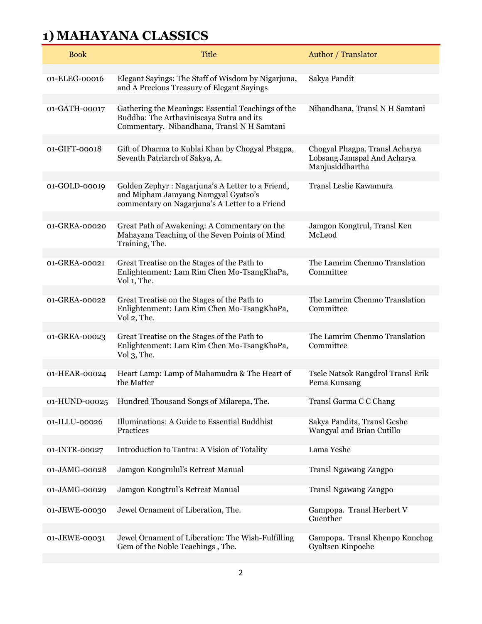| <b>Book</b>   | <b>Title</b>                                                                                                                                 | Author / Translator                                                              |
|---------------|----------------------------------------------------------------------------------------------------------------------------------------------|----------------------------------------------------------------------------------|
| 01-ELEG-00016 | Elegant Sayings: The Staff of Wisdom by Nigarjuna,<br>and A Precious Treasury of Elegant Sayings                                             | Sakya Pandit                                                                     |
| 01-GATH-00017 | Gathering the Meanings: Essential Teachings of the<br>Buddha: The Arthaviniscaya Sutra and its<br>Commentary. Nibandhana, Transl N H Samtani | Nibandhana, Transl N H Samtani                                                   |
| 01-GIFT-00018 | Gift of Dharma to Kublai Khan by Chogyal Phagpa,<br>Seventh Patriarch of Sakya, A.                                                           | Chogyal Phagpa, Transl Acharya<br>Lobsang Jamspal And Acharya<br>Manjusiddhartha |
| 01-GOLD-00019 | Golden Zephyr: Nagarjuna's A Letter to a Friend,<br>and Mipham Jamyang Namgyal Gyatso's<br>commentary on Nagarjuna's A Letter to a Friend    | Transl Leslie Kawamura                                                           |
| 01-GREA-00020 | Great Path of Awakening: A Commentary on the<br>Mahayana Teaching of the Seven Points of Mind<br>Training, The.                              | Jamgon Kongtrul, Transl Ken<br>McLeod                                            |
| 01-GREA-00021 | Great Treatise on the Stages of the Path to<br>Enlightenment: Lam Rim Chen Mo-TsangKhaPa,<br>Vol 1, The.                                     | The Lamrim Chenmo Translation<br>Committee                                       |
| 01-GREA-00022 | Great Treatise on the Stages of the Path to<br>Enlightenment: Lam Rim Chen Mo-TsangKhaPa,<br>Vol 2, The.                                     | The Lamrim Chenmo Translation<br>Committee                                       |
| 01-GREA-00023 | Great Treatise on the Stages of the Path to<br>Enlightenment: Lam Rim Chen Mo-TsangKhaPa,<br>Vol 3, The.                                     | The Lamrim Chenmo Translation<br>Committee                                       |
| 01-HEAR-00024 | Heart Lamp: Lamp of Mahamudra & The Heart of<br>the Matter                                                                                   | Tsele Natsok Rangdrol Transl Erik<br>Pema Kunsang                                |
| 01-HUND-00025 | Hundred Thousand Songs of Milarepa, The.                                                                                                     | Transl Garma C C Chang                                                           |
| 01-ILLU-00026 | Illuminations: A Guide to Essential Buddhist<br>Practices                                                                                    | Sakya Pandita, Transl Geshe<br>Wangyal and Brian Cutillo                         |
| 01-INTR-00027 | Introduction to Tantra: A Vision of Totality                                                                                                 | Lama Yeshe                                                                       |
| 01-JAMG-00028 | Jamgon Kongrulul's Retreat Manual                                                                                                            | Transl Ngawang Zangpo                                                            |
| 01-JAMG-00029 | Jamgon Kongtrul's Retreat Manual                                                                                                             | <b>Transl Ngawang Zangpo</b>                                                     |
| 01-JEWE-00030 | Jewel Ornament of Liberation, The.                                                                                                           | Gampopa. Transl Herbert V<br>Guenther                                            |
| 01-JEWE-00031 | Jewel Ornament of Liberation: The Wish-Fulfilling<br>Gem of the Noble Teachings, The.                                                        | Gampopa. Transl Khenpo Konchog<br>Gyaltsen Rinpoche                              |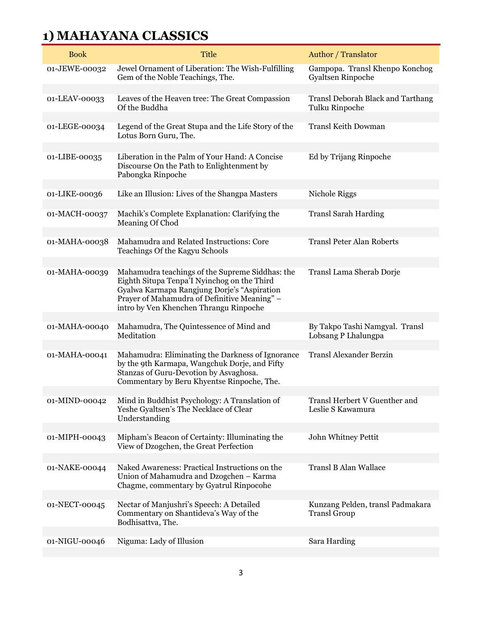| <b>Book</b>   | <b>Title</b>                                                                                                                                                                                                                            | <b>Author</b> / Translator                              |
|---------------|-----------------------------------------------------------------------------------------------------------------------------------------------------------------------------------------------------------------------------------------|---------------------------------------------------------|
| 01-JEWE-00032 | Jewel Ornament of Liberation: The Wish-Fulfilling<br>Gem of the Noble Teachings, The.                                                                                                                                                   | Gampopa. Transl Khenpo Konchog<br>Gyaltsen Rinpoche     |
| 01-LEAV-00033 | Leaves of the Heaven tree: The Great Compassion<br>Of the Buddha                                                                                                                                                                        | Transl Deborah Black and Tarthang<br>Tulku Rinpoche     |
| 01-LEGE-00034 | Legend of the Great Stupa and the Life Story of the<br>Lotus Born Guru, The.                                                                                                                                                            | <b>Transl Keith Dowman</b>                              |
| 01-LIBE-00035 | Liberation in the Palm of Your Hand: A Concise<br>Discourse On the Path to Enlightenment by<br>Pabongka Rinpoche                                                                                                                        | Ed by Trijang Rinpoche                                  |
| 01-LIKE-00036 | Like an Illusion: Lives of the Shangpa Masters                                                                                                                                                                                          | Nichole Riggs                                           |
| 01-MACH-00037 | Machik's Complete Explanation: Clarifying the<br>Meaning Of Chod                                                                                                                                                                        | <b>Transl Sarah Harding</b>                             |
| 01-MAHA-00038 | Mahamudra and Related Instructions: Core<br>Teachings Of the Kagyu Schools                                                                                                                                                              | <b>Transl Peter Alan Roberts</b>                        |
| 01-MAHA-00039 | Mahamudra teachings of the Supreme Siddhas: the<br>Eighth Situpa Tenpa'I Nyinchog on the Third<br>Gyalwa Karmapa Rangjung Dorje's "Aspiration<br>Prayer of Mahamudra of Definitive Meaning" -<br>intro by Ven Khenchen Thrangu Rinpoche | Transl Lama Sherab Dorje                                |
| 01-MAHA-00040 | Mahamudra, The Quintessence of Mind and<br>Meditation                                                                                                                                                                                   | By Takpo Tashi Namgyal. Transl<br>Lobsang P Lhalungpa   |
| 01-MAHA-00041 | Mahamudra: Eliminating the Darkness of Ignorance<br>by the 9th Karmapa, Wangchuk Dorje, and Fifty<br>Stanzas of Guru-Devotion by Asvaghosa.<br>Commentary by Beru Khyentse Rinpoche, The.                                               | <b>Transl Alexander Berzin</b>                          |
| 01-MIND-00042 | Mind in Buddhist Psychology: A Translation of<br>Yeshe Gyaltsen's The Necklace of Clear<br>Understanding                                                                                                                                | Transl Herbert V Guenther and<br>Leslie S Kawamura      |
| 01-MIPH-00043 | Mipham's Beacon of Certainty: Illuminating the<br>View of Dzogchen, the Great Perfection                                                                                                                                                | John Whitney Pettit                                     |
| 01-NAKE-00044 | Naked Awareness: Practical Instructions on the<br>Union of Mahamudra and Dzogchen - Karma<br>Chagme, commentary by Gyatrul Rinpocohe                                                                                                    | <b>Transl B Alan Wallace</b>                            |
| 01-NECT-00045 | Nectar of Manjushri's Speech: A Detailed<br>Commentary on Shantideva's Way of the<br>Bodhisattva, The.                                                                                                                                  | Kunzang Pelden, transl Padmakara<br><b>Transl Group</b> |
| 01-NIGU-00046 | Niguma: Lady of Illusion                                                                                                                                                                                                                | Sara Harding                                            |
|               |                                                                                                                                                                                                                                         |                                                         |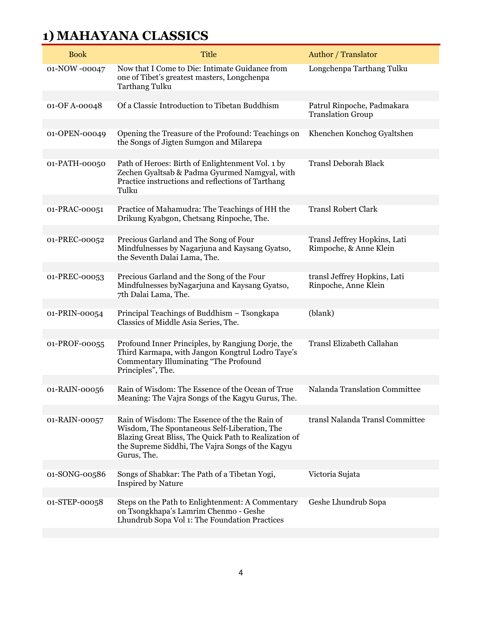| <b>Book</b>   | <b>Title</b>                                                                                                                                                                                                               | Author / Translator                                    |
|---------------|----------------------------------------------------------------------------------------------------------------------------------------------------------------------------------------------------------------------------|--------------------------------------------------------|
| 01-NOW -00047 | Now that I Come to Die: Intimate Guidance from<br>one of Tibet's greatest masters, Longchenpa<br><b>Tarthang Tulku</b>                                                                                                     | Longchenpa Tarthang Tulku                              |
| 01-OF A-00048 | Of a Classic Introduction to Tibetan Buddhism                                                                                                                                                                              | Patrul Rinpoche, Padmakara<br><b>Translation Group</b> |
| 01-OPEN-00049 | Opening the Treasure of the Profound: Teachings on<br>the Songs of Jigten Sumgon and Milarepa                                                                                                                              | Khenchen Konchog Gyaltshen                             |
| 01-PATH-00050 | Path of Heroes: Birth of Enlightenment Vol. 1 by<br>Zechen Gyaltsab & Padma Gyurmed Namgyal, with<br>Practice instructions and reflections of Tarthang<br>Tulku                                                            | <b>Transl Deborah Black</b>                            |
| 01-PRAC-00051 | Practice of Mahamudra: The Teachings of HH the<br>Drikung Kyabgon, Chetsang Rinpoche, The.                                                                                                                                 | <b>Transl Robert Clark</b>                             |
| 01-PREC-00052 | Precious Garland and The Song of Four<br>Mindfulnesses by Nagarjuna and Kaysang Gyatso,<br>the Seventh Dalai Lama, The.                                                                                                    | Transl Jeffrey Hopkins, Lati<br>Rimpoche, & Anne Klein |
| 01-PREC-00053 | Precious Garland and the Song of the Four<br>Mindfulnesses by Nagarjuna and Kaysang Gyatso,<br>7th Dalai Lama, The.                                                                                                        | transl Jeffrey Hopkins, Lati<br>Rinpoche, Anne Klein   |
| 01-PRIN-00054 | Principal Teachings of Buddhism - Tsongkapa<br>Classics of Middle Asia Series, The.                                                                                                                                        | (blank)                                                |
| 01-PROF-00055 | Profound Inner Principles, by Rangjung Dorje, the<br>Third Karmapa, with Jangon Kongtrul Lodro Taye's<br>Commentary Illuminating "The Profound<br>Principles", The.                                                        | Transl Elizabeth Callahan                              |
| 01-RAIN-00056 | Rain of Wisdom: The Essence of the Ocean of True<br>Meaning: The Vajra Songs of the Kagyu Gurus, The.                                                                                                                      | Nalanda Translation Committee                          |
| 01-RAIN-00057 | Rain of Wisdom: The Essence of the the Rain of<br>Wisdom, The Spontaneous Self-Liberation, The<br>Blazing Great Bliss, The Quick Path to Realization of<br>the Supreme Siddhi, The Vajra Songs of the Kagyu<br>Gurus, The. | transl Nalanda Transl Committee                        |
| 01-SONG-00586 | Songs of Shabkar: The Path of a Tibetan Yogi,<br><b>Inspired by Nature</b>                                                                                                                                                 | Victoria Sujata                                        |
| 01-STEP-00058 | Steps on the Path to Enlightenment: A Commentary<br>on Tsongkhapa's Lamrim Chenmo - Geshe<br>Lhundrub Sopa Vol 1: The Foundation Practices                                                                                 | Geshe Lhundrub Sopa                                    |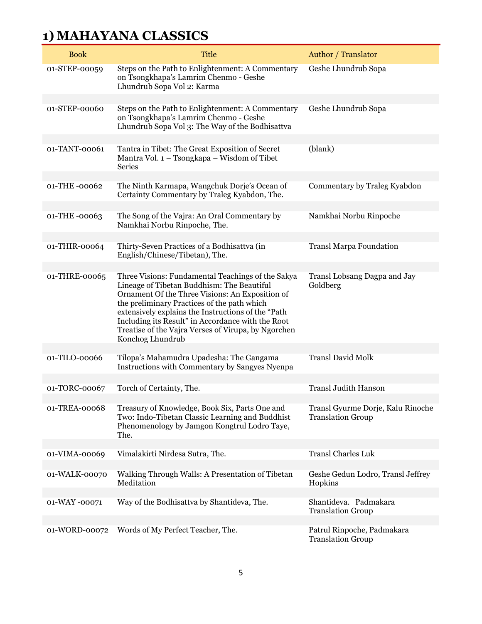| <b>Book</b>   | <b>Title</b>                                                                                                                                                                                                                                                                                                                                                                            | Author / Translator                                           |
|---------------|-----------------------------------------------------------------------------------------------------------------------------------------------------------------------------------------------------------------------------------------------------------------------------------------------------------------------------------------------------------------------------------------|---------------------------------------------------------------|
| 01-STEP-00059 | Steps on the Path to Enlightenment: A Commentary<br>on Tsongkhapa's Lamrim Chenmo - Geshe<br>Lhundrub Sopa Vol 2: Karma                                                                                                                                                                                                                                                                 | Geshe Lhundrub Sopa                                           |
|               |                                                                                                                                                                                                                                                                                                                                                                                         |                                                               |
| 01-STEP-00060 | Steps on the Path to Enlightenment: A Commentary<br>on Tsongkhapa's Lamrim Chenmo - Geshe<br>Lhundrub Sopa Vol 3: The Way of the Bodhisattva                                                                                                                                                                                                                                            | Geshe Lhundrub Sopa                                           |
|               |                                                                                                                                                                                                                                                                                                                                                                                         |                                                               |
| 01-TANT-00061 | Tantra in Tibet: The Great Exposition of Secret<br>Mantra Vol. 1 – Tsongkapa – Wisdom of Tibet<br><b>Series</b>                                                                                                                                                                                                                                                                         | (blank)                                                       |
|               |                                                                                                                                                                                                                                                                                                                                                                                         |                                                               |
| 01-THE-00062  | The Ninth Karmapa, Wangchuk Dorje's Ocean of<br>Certainty Commentary by Traleg Kyabdon, The.                                                                                                                                                                                                                                                                                            | Commentary by Traleg Kyabdon                                  |
|               |                                                                                                                                                                                                                                                                                                                                                                                         |                                                               |
| 01-THE-00063  | The Song of the Vajra: An Oral Commentary by<br>Namkhai Norbu Rinpoche, The.                                                                                                                                                                                                                                                                                                            | Namkhai Norbu Rinpoche                                        |
|               |                                                                                                                                                                                                                                                                                                                                                                                         |                                                               |
| 01-THIR-00064 | Thirty-Seven Practices of a Bodhisattva (in<br>English/Chinese/Tibetan), The.                                                                                                                                                                                                                                                                                                           | <b>Transl Marpa Foundation</b>                                |
| 01-THRE-00065 | Three Visions: Fundamental Teachings of the Sakya<br>Lineage of Tibetan Buddhism: The Beautiful<br>Ornament Of the Three Visions: An Exposition of<br>the preliminary Practices of the path which<br>extensively explains the Instructions of the "Path<br>Including its Result" in Accordance with the Root<br>Treatise of the Vajra Verses of Virupa, by Ngorchen<br>Konchog Lhundrub | Transl Lobsang Dagpa and Jay<br>Goldberg                      |
|               |                                                                                                                                                                                                                                                                                                                                                                                         |                                                               |
| 01-TILO-00066 | Tilopa's Mahamudra Upadesha: The Gangama<br>Instructions with Commentary by Sangyes Nyenpa                                                                                                                                                                                                                                                                                              | <b>Transl David Molk</b>                                      |
|               |                                                                                                                                                                                                                                                                                                                                                                                         |                                                               |
| 01-TORC-00067 | Torch of Certainty, The.                                                                                                                                                                                                                                                                                                                                                                | <b>Transl Judith Hanson</b>                                   |
| 01-TREA-00068 | Treasury of Knowledge, Book Six, Parts One and<br>Two: Indo-Tibetan Classic Learning and Buddhist<br>Phenomenology by Jamgon Kongtrul Lodro Taye,<br>The.                                                                                                                                                                                                                               | Transl Gyurme Dorje, Kalu Rinoche<br><b>Translation Group</b> |
| 01-VIMA-00069 | Vimalakirti Nirdesa Sutra, The.                                                                                                                                                                                                                                                                                                                                                         | <b>Transl Charles Luk</b>                                     |
|               |                                                                                                                                                                                                                                                                                                                                                                                         |                                                               |
| 01-WALK-00070 | Walking Through Walls: A Presentation of Tibetan<br>Meditation                                                                                                                                                                                                                                                                                                                          | Geshe Gedun Lodro, Transl Jeffrey<br>Hopkins                  |
|               |                                                                                                                                                                                                                                                                                                                                                                                         |                                                               |
| 01-WAY-00071  | Way of the Bodhisattva by Shantideva, The.                                                                                                                                                                                                                                                                                                                                              | Shantideva. Padmakara<br><b>Translation Group</b>             |
|               |                                                                                                                                                                                                                                                                                                                                                                                         |                                                               |
| 01-WORD-00072 | Words of My Perfect Teacher, The.                                                                                                                                                                                                                                                                                                                                                       | Patrul Rinpoche, Padmakara<br><b>Translation Group</b>        |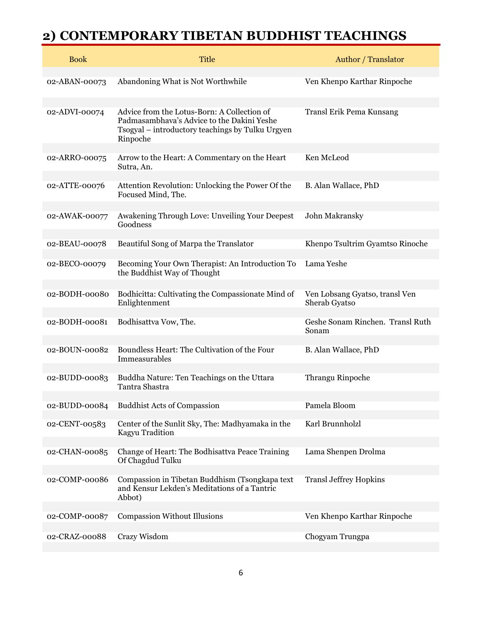| <b>Book</b>   | <b>Title</b>                                                                                                                                              | <b>Author</b> / Translator                      |
|---------------|-----------------------------------------------------------------------------------------------------------------------------------------------------------|-------------------------------------------------|
| 02-ABAN-00073 | Abandoning What is Not Worthwhile                                                                                                                         | Ven Khenpo Karthar Rinpoche                     |
| 02-ADVI-00074 | Advice from the Lotus-Born: A Collection of<br>Padmasambhava's Advice to the Dakini Yeshe<br>Tsogyal - introductory teachings by Tulku Urgyen<br>Rinpoche | Transl Erik Pema Kunsang                        |
| 02-ARRO-00075 | Arrow to the Heart: A Commentary on the Heart<br>Sutra, An.                                                                                               | Ken McLeod                                      |
| 02-ATTE-00076 | Attention Revolution: Unlocking the Power Of the<br>Focused Mind, The.                                                                                    | B. Alan Wallace, PhD                            |
| 02-AWAK-00077 | Awakening Through Love: Unveiling Your Deepest<br>Goodness                                                                                                | John Makransky                                  |
| 02-BEAU-00078 | Beautiful Song of Marpa the Translator                                                                                                                    | Khenpo Tsultrim Gyamtso Rinoche                 |
| 02-BECO-00079 | Becoming Your Own Therapist: An Introduction To<br>the Buddhist Way of Thought                                                                            | Lama Yeshe                                      |
| 02-BODH-00080 | Bodhicitta: Cultivating the Compassionate Mind of<br>Enlightenment                                                                                        | Ven Lobsang Gyatso, transl Ven<br>Sherab Gyatso |
| 02-BODH-00081 | Bodhisattva Vow, The.                                                                                                                                     | Geshe Sonam Rinchen. Transl Ruth<br>Sonam       |
| 02-BOUN-00082 | Boundless Heart: The Cultivation of the Four<br>Immeasurables                                                                                             | B. Alan Wallace, PhD                            |
| 02-BUDD-00083 | Buddha Nature: Ten Teachings on the Uttara<br>Tantra Shastra                                                                                              | Thrangu Rinpoche                                |
| 02-BUDD-00084 | <b>Buddhist Acts of Compassion</b>                                                                                                                        | Pamela Bloom                                    |
| 02-CENT-00583 | Center of the Sunlit Sky, The: Madhyamaka in the<br>Kagyu Tradition                                                                                       | Karl Brunnholzl                                 |
| 02-CHAN-00085 | Change of Heart: The Bodhisattva Peace Training<br>Of Chagdud Tulku                                                                                       | Lama Shenpen Drolma                             |
| 02-COMP-00086 | Compassion in Tibetan Buddhism (Tsongkapa text<br>and Kensur Lekden's Meditations of a Tantric<br>Abbot)                                                  | <b>Transl Jeffrey Hopkins</b>                   |
| 02-COMP-00087 | <b>Compassion Without Illusions</b>                                                                                                                       | Ven Khenpo Karthar Rinpoche                     |
| 02-CRAZ-00088 | Crazy Wisdom                                                                                                                                              | Chogyam Trungpa                                 |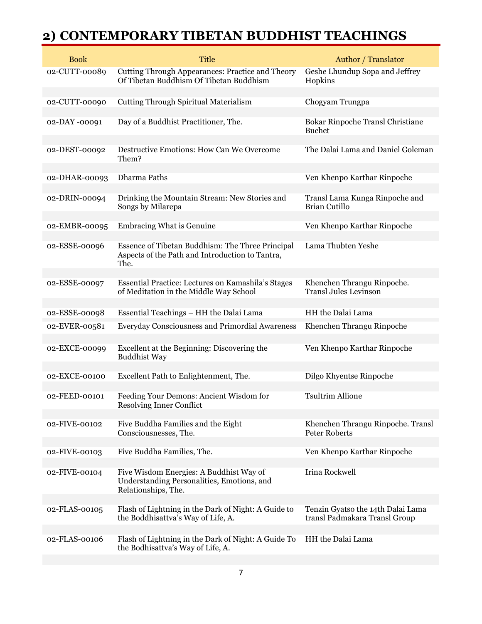| <b>Book</b>   | <b>Title</b>                                                                                                 | Author / Translator                                                |
|---------------|--------------------------------------------------------------------------------------------------------------|--------------------------------------------------------------------|
| 02-CUTT-00089 | Cutting Through Appearances: Practice and Theory<br>Of Tibetan Buddhism Of Tibetan Buddhism                  | Geshe Lhundup Sopa and Jeffrey<br>Hopkins                          |
|               |                                                                                                              |                                                                    |
| 02-CUTT-00090 | <b>Cutting Through Spiritual Materialism</b>                                                                 | Chogyam Trungpa                                                    |
| 02-DAY-00091  | Day of a Buddhist Practitioner, The.                                                                         | Bokar Rinpoche Transl Christiane<br><b>Buchet</b>                  |
| 02-DEST-00092 | Destructive Emotions: How Can We Overcome<br>Them?                                                           | The Dalai Lama and Daniel Goleman                                  |
| 02-DHAR-00093 | Dharma Paths                                                                                                 | Ven Khenpo Karthar Rinpoche                                        |
|               |                                                                                                              |                                                                    |
| 02-DRIN-00094 | Drinking the Mountain Stream: New Stories and<br>Songs by Milarepa                                           | Transl Lama Kunga Rinpoche and<br>Brian Cutillo                    |
| 02-EMBR-00095 | <b>Embracing What is Genuine</b>                                                                             | Ven Khenpo Karthar Rinpoche                                        |
|               |                                                                                                              |                                                                    |
| 02-ESSE-00096 | Essence of Tibetan Buddhism: The Three Principal<br>Aspects of the Path and Introduction to Tantra,<br>The.  | Lama Thubten Yeshe                                                 |
|               |                                                                                                              |                                                                    |
| 02-ESSE-00097 | Essential Practice: Lectures on Kamashila's Stages<br>of Meditation in the Middle Way School                 | Khenchen Thrangu Rinpoche.<br><b>Transl Jules Levinson</b>         |
| 02-ESSE-00098 | Essential Teachings - HH the Dalai Lama                                                                      | HH the Dalai Lama                                                  |
|               |                                                                                                              |                                                                    |
| 02-EVER-00581 | Everyday Consciousness and Primordial Awareness                                                              | Khenchen Thrangu Rinpoche                                          |
| 02-EXCE-00099 | Excellent at the Beginning: Discovering the<br><b>Buddhist Way</b>                                           | Ven Khenpo Karthar Rinpoche                                        |
| 02-EXCE-00100 | Excellent Path to Enlightenment, The.                                                                        | Dilgo Khyentse Rinpoche                                            |
|               |                                                                                                              |                                                                    |
| 02-FEED-00101 | Feeding Your Demons: Ancient Wisdom for<br>Resolving Inner Conflict                                          | <b>Tsultrim Allione</b>                                            |
|               |                                                                                                              |                                                                    |
| 02-FIVE-00102 | Five Buddha Families and the Eight<br>Consciousnesses, The.                                                  | Khenchen Thrangu Rinpoche. Transl<br>Peter Roberts                 |
| 02-FIVE-00103 | Five Buddha Families, The.                                                                                   | Ven Khenpo Karthar Rinpoche                                        |
|               |                                                                                                              |                                                                    |
| 02-FIVE-00104 | Five Wisdom Energies: A Buddhist Way of<br>Understanding Personalities, Emotions, and<br>Relationships, The. | Irina Rockwell                                                     |
|               |                                                                                                              |                                                                    |
| 02-FLAS-00105 | Flash of Lightning in the Dark of Night: A Guide to<br>the Boddhisattva's Way of Life, A.                    | Tenzin Gyatso the 14th Dalai Lama<br>transl Padmakara Transl Group |
| 02-FLAS-00106 | Flash of Lightning in the Dark of Night: A Guide To<br>the Bodhisattva's Way of Life, A.                     | HH the Dalai Lama                                                  |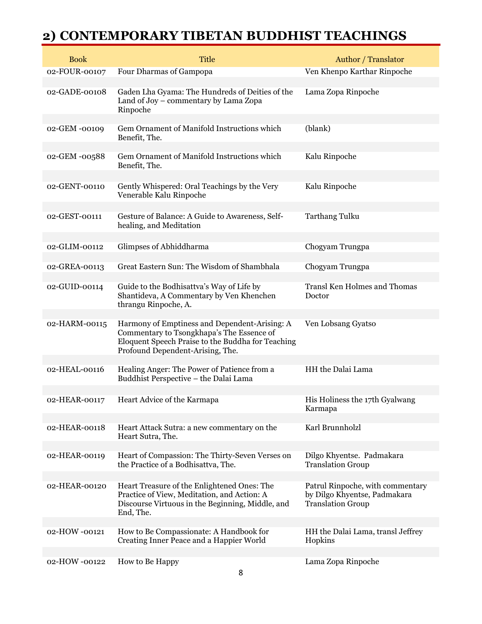| <b>Book</b>   | Title                                                                                                                                                                               | Author / Translator                                                                          |
|---------------|-------------------------------------------------------------------------------------------------------------------------------------------------------------------------------------|----------------------------------------------------------------------------------------------|
| 02-FOUR-00107 | Four Dharmas of Gampopa                                                                                                                                                             | Ven Khenpo Karthar Rinpoche                                                                  |
| 02-GADE-00108 | Gaden Lha Gyama: The Hundreds of Deities of the<br>Land of Joy - commentary by Lama Zopa<br>Rinpoche                                                                                | Lama Zopa Rinpoche                                                                           |
| 02-GEM-00109  | Gem Ornament of Manifold Instructions which<br>Benefit, The.                                                                                                                        | (blank)                                                                                      |
| 02-GEM -00588 | Gem Ornament of Manifold Instructions which<br>Benefit, The.                                                                                                                        | Kalu Rinpoche                                                                                |
| 02-GENT-00110 | Gently Whispered: Oral Teachings by the Very<br>Venerable Kalu Rinpoche                                                                                                             | Kalu Rinpoche                                                                                |
| 02-GEST-00111 | Gesture of Balance: A Guide to Awareness, Self-<br>healing, and Meditation                                                                                                          | <b>Tarthang Tulku</b>                                                                        |
| 02-GLIM-00112 | Glimpses of Abhiddharma                                                                                                                                                             | Chogyam Trungpa                                                                              |
| 02-GREA-00113 | Great Eastern Sun: The Wisdom of Shambhala                                                                                                                                          | Chogyam Trungpa                                                                              |
| 02-GUID-00114 | Guide to the Bodhisattva's Way of Life by<br>Shantideva, A Commentary by Ven Khenchen<br>thrangu Rinpoche, A.                                                                       | <b>Transl Ken Holmes and Thomas</b><br>Doctor                                                |
| 02-HARM-00115 | Harmony of Emptiness and Dependent-Arising: A<br>Commentary to Tsongkhapa's The Essence of<br>Eloquent Speech Praise to the Buddha for Teaching<br>Profound Dependent-Arising, The. | Ven Lobsang Gyatso                                                                           |
| 02-HEAL-00116 | Healing Anger: The Power of Patience from a<br>Buddhist Perspective - the Dalai Lama                                                                                                | HH the Dalai Lama                                                                            |
| 02-HEAR-00117 | Heart Advice of the Karmapa                                                                                                                                                         | His Holiness the 17th Gyalwang<br>Karmapa                                                    |
| 02-HEAR-00118 | Heart Attack Sutra: a new commentary on the<br>Heart Sutra, The.                                                                                                                    | Karl Brunnholzl                                                                              |
| 02-HEAR-00119 | Heart of Compassion: The Thirty-Seven Verses on<br>the Practice of a Bodhisattva, The.                                                                                              | Dilgo Khyentse. Padmakara<br><b>Translation Group</b>                                        |
| 02-HEAR-00120 | Heart Treasure of the Enlightened Ones: The<br>Practice of View, Meditation, and Action: A<br>Discourse Virtuous in the Beginning, Middle, and<br>End, The.                         | Patrul Rinpoche, with commentary<br>by Dilgo Khyentse, Padmakara<br><b>Translation Group</b> |
| 02-HOW -00121 | How to Be Compassionate: A Handbook for<br>Creating Inner Peace and a Happier World                                                                                                 | HH the Dalai Lama, transl Jeffrey<br>Hopkins                                                 |
| 02-HOW-00122  | How to Be Happy                                                                                                                                                                     | Lama Zopa Rinpoche                                                                           |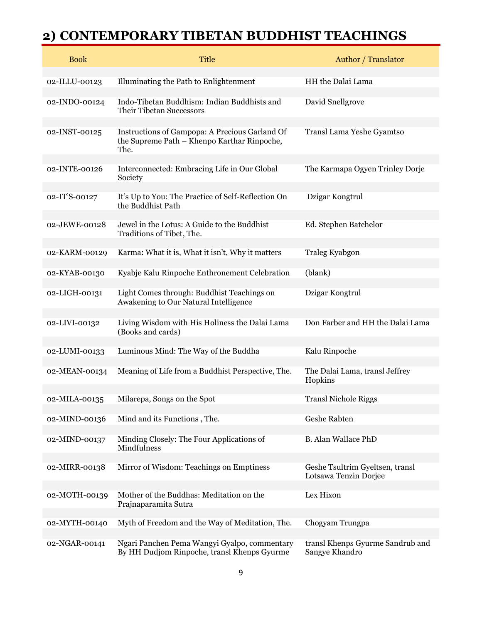| <b>Book</b>   | <b>Title</b>                                                                                          | Author / Translator                                      |
|---------------|-------------------------------------------------------------------------------------------------------|----------------------------------------------------------|
| 02-ILLU-00123 | Illuminating the Path to Enlightenment                                                                | HH the Dalai Lama                                        |
| 02-INDO-00124 | Indo-Tibetan Buddhism: Indian Buddhists and<br>Their Tibetan Successors                               | David Snellgrove                                         |
| 02-INST-00125 | Instructions of Gampopa: A Precious Garland Of<br>the Supreme Path - Khenpo Karthar Rinpoche,<br>The. | Transl Lama Yeshe Gyamtso                                |
| 02-INTE-00126 | Interconnected: Embracing Life in Our Global<br>Society                                               | The Karmapa Ogyen Trinley Dorje                          |
| 02-IT'S-00127 | It's Up to You: The Practice of Self-Reflection On<br>the Buddhist Path                               | Dzigar Kongtrul                                          |
| 02-JEWE-00128 | Jewel in the Lotus: A Guide to the Buddhist<br>Traditions of Tibet, The.                              | Ed. Stephen Batchelor                                    |
| 02-KARM-00129 | Karma: What it is, What it isn't, Why it matters                                                      | <b>Traleg Kyabgon</b>                                    |
| 02-KYAB-00130 | Kyabje Kalu Rinpoche Enthronement Celebration                                                         | (blank)                                                  |
| 02-LIGH-00131 | Light Comes through: Buddhist Teachings on<br>Awakening to Our Natural Intelligence                   | Dzigar Kongtrul                                          |
| 02-LIVI-00132 | Living Wisdom with His Holiness the Dalai Lama<br>(Books and cards)                                   | Don Farber and HH the Dalai Lama                         |
| 02-LUMI-00133 | Luminous Mind: The Way of the Buddha                                                                  | Kalu Rinpoche                                            |
| 02-MEAN-00134 | Meaning of Life from a Buddhist Perspective, The.                                                     | The Dalai Lama, transl Jeffrey<br>Hopkins                |
| 02-MILA-00135 | Milarepa, Songs on the Spot                                                                           | <b>Transl Nichole Riggs</b>                              |
| 02-MIND-00136 | Mind and its Functions, The.                                                                          | Geshe Rabten                                             |
| 02-MIND-00137 | Minding Closely: The Four Applications of<br>Mindfulness                                              | <b>B.</b> Alan Wallace PhD                               |
| 02-MIRR-00138 | Mirror of Wisdom: Teachings on Emptiness                                                              | Geshe Tsultrim Gyeltsen, transl<br>Lotsawa Tenzin Dorjee |
| 02-MOTH-00139 | Mother of the Buddhas: Meditation on the<br>Prajnaparamita Sutra                                      | Lex Hixon                                                |
| 02-MYTH-00140 | Myth of Freedom and the Way of Meditation, The.                                                       | Chogyam Trungpa                                          |
| 02-NGAR-00141 | Ngari Panchen Pema Wangyi Gyalpo, commentary<br>By HH Dudjom Rinpoche, transl Khenps Gyurme           | transl Khenps Gyurme Sandrub and<br>Sangye Khandro       |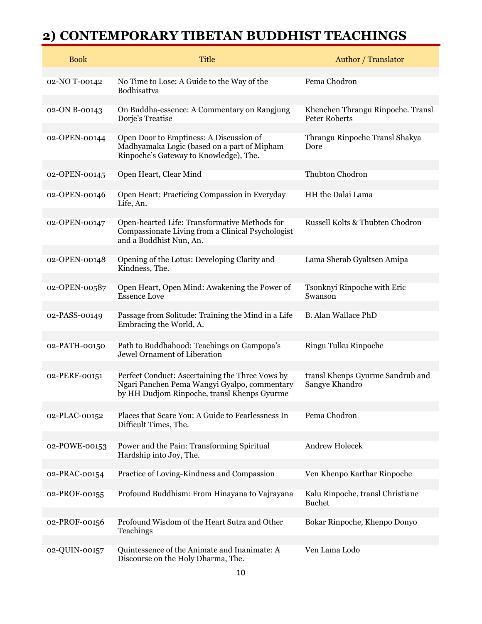| <b>Book</b>   | <b>Title</b>                                                                                                                                   | Author / Translator                                       |
|---------------|------------------------------------------------------------------------------------------------------------------------------------------------|-----------------------------------------------------------|
| 02-NO T-00142 | No Time to Lose: A Guide to the Way of the<br>Bodhisattva                                                                                      | Pema Chodron                                              |
| 02-ON B-00143 | On Buddha-essence: A Commentary on Rangjung<br>Dorje's Treatise                                                                                | Khenchen Thrangu Rinpoche. Transl<br><b>Peter Roberts</b> |
| 02-OPEN-00144 | Open Door to Emptiness: A Discussion of<br>Madhyamaka Logic (based on a part of Mipham<br>Rinpoche's Gateway to Knowledge), The.               | Thrangu Rinpoche Transl Shakya<br>Dore                    |
| 02-OPEN-00145 | Open Heart, Clear Mind                                                                                                                         | Thubton Chodron                                           |
| 02-OPEN-00146 | Open Heart: Practicing Compassion in Everyday<br>Life, An.                                                                                     | HH the Dalai Lama                                         |
| 02-OPEN-00147 | Open-hearted Life: Transformative Methods for<br>Compassionate Living from a Clinical Psychologist<br>and a Buddhist Nun, An.                  | Russell Kolts & Thubten Chodron                           |
| 02-OPEN-00148 | Opening of the Lotus: Developing Clarity and<br>Kindness, The.                                                                                 | Lama Sherab Gyaltsen Amipa                                |
| 02-OPEN-00587 | Open Heart, Open Mind: Awakening the Power of<br><b>Essence Love</b>                                                                           | Tsonknyi Rinpoche with Eric<br>Swanson                    |
| 02-PASS-00149 | Passage from Solitude: Training the Mind in a Life<br>Embracing the World, A.                                                                  | <b>B.</b> Alan Wallace PhD                                |
| 02-PATH-00150 | Path to Buddhahood: Teachings on Gampopa's<br>Jewel Ornament of Liberation                                                                     | Ringu Tulku Rinpoche                                      |
| 02-PERF-00151 | Perfect Conduct: Ascertaining the Three Vows by<br>Ngari Panchen Pema Wangyi Gyalpo, commentary<br>by HH Dudjom Rinpoche, transl Khenps Gyurme | transl Khenps Gyurme Sandrub and<br>Sangye Khandro        |
| 02-PLAC-00152 | Places that Scare You: A Guide to Fearlessness In<br>Difficult Times, The.                                                                     | Pema Chodron                                              |
| 02-POWE-00153 | Power and the Pain: Transforming Spiritual<br>Hardship into Joy, The.                                                                          | <b>Andrew Holecek</b>                                     |
| 02-PRAC-00154 | Practice of Loving-Kindness and Compassion                                                                                                     | Ven Khenpo Karthar Rinpoche                               |
| 02-PROF-00155 | Profound Buddhism: From Hinayana to Vajrayana                                                                                                  | Kalu Rinpoche, transl Christiane<br><b>Buchet</b>         |
| 02-PROF-00156 | Profound Wisdom of the Heart Sutra and Other<br>Teachings                                                                                      | Bokar Rinpoche, Khenpo Donyo                              |
| 02-QUIN-00157 | Quintessence of the Animate and Inanimate: A<br>Discourse on the Holy Dharma, The.                                                             | Ven Lama Lodo                                             |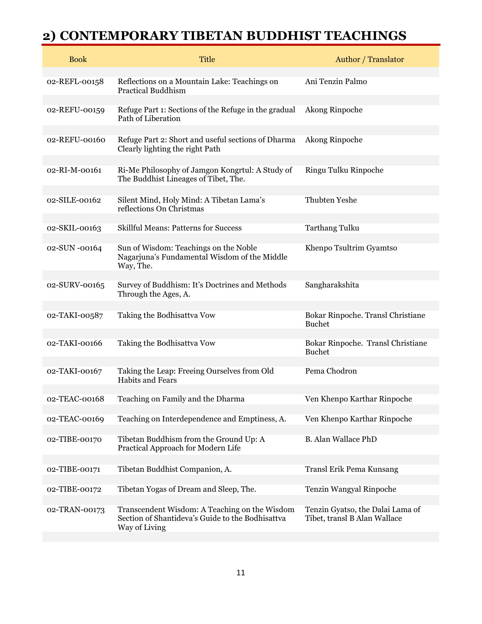| <b>Book</b>   | <b>Title</b>                                                                                                       | Author / Translator                                              |
|---------------|--------------------------------------------------------------------------------------------------------------------|------------------------------------------------------------------|
| 02-REFL-00158 | Reflections on a Mountain Lake: Teachings on<br><b>Practical Buddhism</b>                                          | Ani Tenzin Palmo                                                 |
| 02-REFU-00159 | Refuge Part 1: Sections of the Refuge in the gradual<br>Path of Liberation                                         | Akong Rinpoche                                                   |
| 02-REFU-00160 | Refuge Part 2: Short and useful sections of Dharma<br>Clearly lighting the right Path                              | Akong Rinpoche                                                   |
| 02-RI-M-00161 | Ri-Me Philosophy of Jamgon Kongrtul: A Study of<br>The Buddhist Lineages of Tibet, The.                            | Ringu Tulku Rinpoche                                             |
| 02-SILE-00162 | Silent Mind, Holy Mind: A Tibetan Lama's<br>reflections On Christmas                                               | <b>Thubten Yeshe</b>                                             |
| 02-SKIL-00163 | <b>Skillful Means: Patterns for Success</b>                                                                        | <b>Tarthang Tulku</b>                                            |
| 02-SUN -00164 | Sun of Wisdom: Teachings on the Noble<br>Nagarjuna's Fundamental Wisdom of the Middle<br>Way, The.                 | Khenpo Tsultrim Gyamtso                                          |
| 02-SURV-00165 | Survey of Buddhism: It's Doctrines and Methods<br>Through the Ages, A.                                             | Sangharakshita                                                   |
| 02-TAKI-00587 | Taking the Bodhisattva Vow                                                                                         | Bokar Rinpoche. Transl Christiane<br><b>Buchet</b>               |
| 02-TAKI-00166 | Taking the Bodhisattva Vow                                                                                         | Bokar Rinpoche. Transl Christiane<br><b>Buchet</b>               |
| 02-TAKI-00167 | Taking the Leap: Freeing Ourselves from Old<br><b>Habits and Fears</b>                                             | Pema Chodron                                                     |
| 02-TEAC-00168 | Teaching on Family and the Dharma                                                                                  | Ven Khenpo Karthar Rinpoche                                      |
| 02-TEAC-00169 | Teaching on Interdependence and Emptiness, A.                                                                      | Ven Khenpo Karthar Rinpoche                                      |
| 02-TIBE-00170 | Tibetan Buddhism from the Ground Up: A<br>Practical Approach for Modern Life                                       | <b>B.</b> Alan Wallace PhD                                       |
| 02-TIBE-00171 | Tibetan Buddhist Companion, A.                                                                                     | Transl Erik Pema Kunsang                                         |
| 02-TIBE-00172 | Tibetan Yogas of Dream and Sleep, The.                                                                             | Tenzin Wangyal Rinpoche                                          |
| 02-TRAN-00173 | Transcendent Wisdom: A Teaching on the Wisdom<br>Section of Shantideva's Guide to the Bodhisattva<br>Way of Living | Tenzin Gyatso, the Dalai Lama of<br>Tibet, transl B Alan Wallace |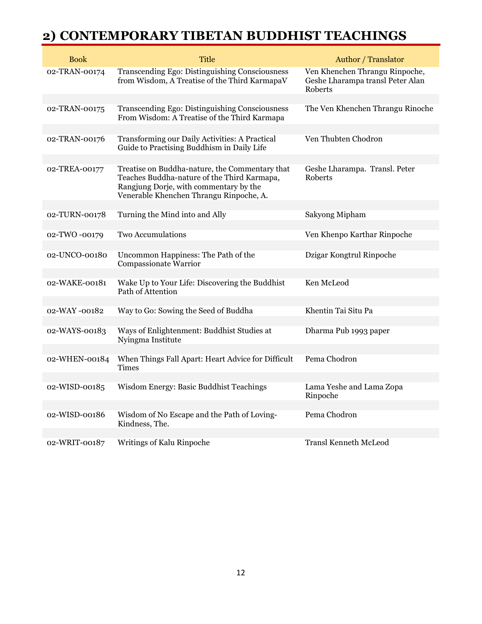| <b>Book</b>   | <b>Title</b>                                                                                                                                                                       | Author / Translator                                                           |
|---------------|------------------------------------------------------------------------------------------------------------------------------------------------------------------------------------|-------------------------------------------------------------------------------|
| 02-TRAN-00174 | Transcending Ego: Distinguishing Consciousness<br>from Wisdom, A Treatise of the Third KarmapaV                                                                                    | Ven Khenchen Thrangu Rinpoche,<br>Geshe Lharampa transl Peter Alan<br>Roberts |
| 02-TRAN-00175 | Transcending Ego: Distinguishing Consciousness<br>From Wisdom: A Treatise of the Third Karmapa                                                                                     | The Ven Khenchen Thrangu Rinoche                                              |
| 02-TRAN-00176 | Transforming our Daily Activities: A Practical<br>Guide to Practising Buddhism in Daily Life                                                                                       | Ven Thubten Chodron                                                           |
| 02-TREA-00177 | Treatise on Buddha-nature, the Commentary that<br>Teaches Buddha-nature of the Third Karmapa,<br>Rangjung Dorje, with commentary by the<br>Venerable Khenchen Thrangu Rinpoche, A. | Geshe Lharampa. Transl. Peter<br>Roberts                                      |
| 02-TURN-00178 | Turning the Mind into and Ally                                                                                                                                                     | Sakyong Mipham                                                                |
| 02-TWO -00179 | Two Accumulations                                                                                                                                                                  | Ven Khenpo Karthar Rinpoche                                                   |
| 02-UNCO-00180 | Uncommon Happiness: The Path of the<br>Compassionate Warrior                                                                                                                       | Dzigar Kongtrul Rinpoche                                                      |
| 02-WAKE-00181 | Wake Up to Your Life: Discovering the Buddhist<br>Path of Attention                                                                                                                | Ken McLeod                                                                    |
| 02-WAY-00182  | Way to Go: Sowing the Seed of Buddha                                                                                                                                               | Khentin Tai Situ Pa                                                           |
| 02-WAYS-00183 | Ways of Enlightenment: Buddhist Studies at<br>Nyingma Institute                                                                                                                    | Dharma Pub 1993 paper                                                         |
| 02-WHEN-00184 | When Things Fall Apart: Heart Advice for Difficult<br><b>Times</b>                                                                                                                 | Pema Chodron                                                                  |
| 02-WISD-00185 | Wisdom Energy: Basic Buddhist Teachings                                                                                                                                            | Lama Yeshe and Lama Zopa<br>Rinpoche                                          |
| 02-WISD-00186 | Wisdom of No Escape and the Path of Loving-<br>Kindness, The.                                                                                                                      | Pema Chodron                                                                  |
| 02-WRIT-00187 | Writings of Kalu Rinpoche                                                                                                                                                          | <b>Transl Kenneth McLeod</b>                                                  |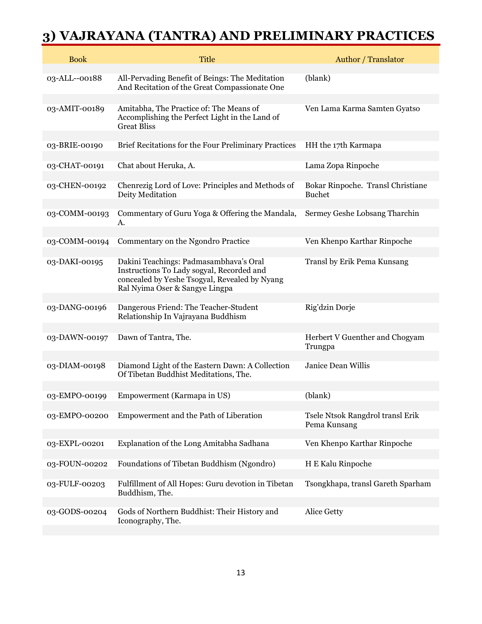## **3) VAJRAYANA (TANTRA) AND PRELIMINARY PRACTICES**

| <b>Book</b>   | <b>Title</b>                                                                                                                                                           | Author / Translator                                |
|---------------|------------------------------------------------------------------------------------------------------------------------------------------------------------------------|----------------------------------------------------|
| 03-ALL--00188 | All-Pervading Benefit of Beings: The Meditation<br>And Recitation of the Great Compassionate One                                                                       | (blank)                                            |
| 03-AMIT-00189 | Amitabha, The Practice of: The Means of<br>Accomplishing the Perfect Light in the Land of<br><b>Great Bliss</b>                                                        | Ven Lama Karma Samten Gyatso                       |
| 03-BRIE-00190 | Brief Recitations for the Four Preliminary Practices                                                                                                                   | HH the 17th Karmapa                                |
| 03-CHAT-00191 | Chat about Heruka, A.                                                                                                                                                  | Lama Zopa Rinpoche                                 |
| 03-CHEN-00192 | Chenrezig Lord of Love: Principles and Methods of<br>Deity Meditation                                                                                                  | Bokar Rinpoche. Transl Christiane<br><b>Buchet</b> |
| 03-COMM-00193 | Commentary of Guru Yoga & Offering the Mandala,<br>А.                                                                                                                  | Sermey Geshe Lobsang Tharchin                      |
| 03-COMM-00194 | Commentary on the Ngondro Practice                                                                                                                                     | Ven Khenpo Karthar Rinpoche                        |
| 03-DAKI-00195 | Dakini Teachings: Padmasambhava's Oral<br>Instructions To Lady sogyal, Recorded and<br>concealed by Yeshe Tsogyal, Revealed by Nyang<br>Ral Nyima Oser & Sangye Lingpa | Transl by Erik Pema Kunsang                        |
| 03-DANG-00196 | Dangerous Friend: The Teacher-Student<br>Relationship In Vajrayana Buddhism                                                                                            | Rig'dzin Dorje                                     |
| 03-DAWN-00197 | Dawn of Tantra, The.                                                                                                                                                   | Herbert V Guenther and Chogyam<br>Trungpa          |
| 03-DIAM-00198 | Diamond Light of the Eastern Dawn: A Collection<br>Of Tibetan Buddhist Meditations, The.                                                                               | Janice Dean Willis                                 |
| 03-EMPO-00199 | Empowerment (Karmapa in US)                                                                                                                                            | (blank)                                            |
| 03-EMPO-00200 | Empowerment and the Path of Liberation                                                                                                                                 | Tsele Ntsok Rangdrol transl Erik<br>Pema Kunsang   |
| 03-EXPL-00201 | Explanation of the Long Amitabha Sadhana                                                                                                                               | Ven Khenpo Karthar Rinpoche                        |
| 03-FOUN-00202 | Foundations of Tibetan Buddhism (Ngondro)                                                                                                                              | H E Kalu Rinpoche                                  |
| 03-FULF-00203 | Fulfillment of All Hopes: Guru devotion in Tibetan<br>Buddhism, The.                                                                                                   | Tsongkhapa, transl Gareth Sparham                  |
| 03-GODS-00204 | Gods of Northern Buddhist: Their History and<br>Iconography, The.                                                                                                      | Alice Getty                                        |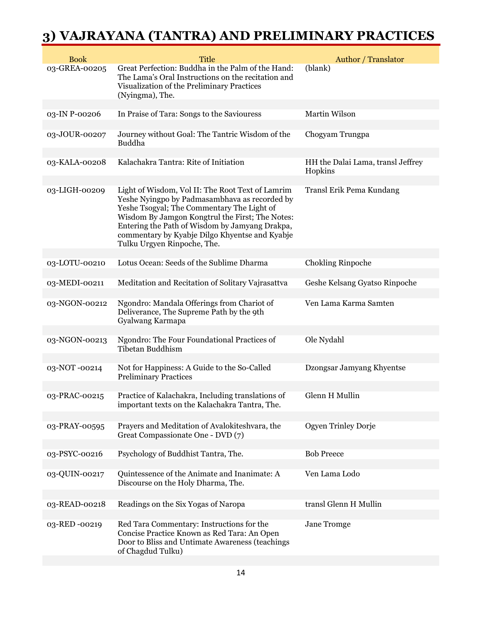## **3) VAJRAYANA (TANTRA) AND PRELIMINARY PRACTICES**

| <b>Book</b>   | <b>Title</b>                                                                                                                                                                                                                                                                                                                          | Author / Translator                          |
|---------------|---------------------------------------------------------------------------------------------------------------------------------------------------------------------------------------------------------------------------------------------------------------------------------------------------------------------------------------|----------------------------------------------|
| 03-GREA-00205 | Great Perfection: Buddha in the Palm of the Hand:<br>The Lama's Oral Instructions on the recitation and<br>Visualization of the Preliminary Practices<br>(Nyingma), The.                                                                                                                                                              | (blank)                                      |
|               |                                                                                                                                                                                                                                                                                                                                       |                                              |
| 03-IN P-00206 | In Praise of Tara: Songs to the Saviouress                                                                                                                                                                                                                                                                                            | Martin Wilson                                |
| 03-JOUR-00207 | Journey without Goal: The Tantric Wisdom of the<br>Buddha                                                                                                                                                                                                                                                                             | Chogyam Trungpa                              |
| 03-KALA-00208 | Kalachakra Tantra: Rite of Initiation                                                                                                                                                                                                                                                                                                 | HH the Dalai Lama, transl Jeffrey<br>Hopkins |
| 03-LIGH-00209 | Light of Wisdom, Vol II: The Root Text of Lamrim<br>Yeshe Nyingpo by Padmasambhava as recorded by<br>Yeshe Tsogyal; The Commentary The Light of<br>Wisdom By Jamgon Kongtrul the First; The Notes:<br>Entering the Path of Wisdom by Jamyang Drakpa,<br>commentary by Kyabje Dilgo Khyentse and Kyabje<br>Tulku Urgyen Rinpoche, The. | Transl Erik Pema Kundang                     |
| 03-LOTU-00210 | Lotus Ocean: Seeds of the Sublime Dharma                                                                                                                                                                                                                                                                                              | <b>Chokling Rinpoche</b>                     |
|               |                                                                                                                                                                                                                                                                                                                                       |                                              |
| 03-MEDI-00211 | Meditation and Recitation of Solitary Vajrasattva                                                                                                                                                                                                                                                                                     | Geshe Kelsang Gyatso Rinpoche                |
| 03-NGON-00212 | Ngondro: Mandala Offerings from Chariot of<br>Deliverance, The Supreme Path by the 9th<br>Gyalwang Karmapa                                                                                                                                                                                                                            | Ven Lama Karma Samten                        |
| 03-NGON-00213 | Ngondro: The Four Foundational Practices of<br>Tibetan Buddhism                                                                                                                                                                                                                                                                       | Ole Nydahl                                   |
| 03-NOT-00214  | Not for Happiness: A Guide to the So-Called<br><b>Preliminary Practices</b>                                                                                                                                                                                                                                                           | Dzongsar Jamyang Khyentse                    |
| 03-PRAC-00215 | Practice of Kalachakra, Including translations of<br>important texts on the Kalachakra Tantra, The.                                                                                                                                                                                                                                   | <b>Glenn H Mullin</b>                        |
| 03-PRAY-00595 | Prayers and Meditation of Avalokiteshvara, the<br>Great Compassionate One - DVD (7)                                                                                                                                                                                                                                                   | Ogyen Trinley Dorje                          |
| 03-PSYC-00216 | Psychology of Buddhist Tantra, The.                                                                                                                                                                                                                                                                                                   | <b>Bob Preece</b>                            |
|               |                                                                                                                                                                                                                                                                                                                                       |                                              |
| 03-QUIN-00217 | Quintessence of the Animate and Inanimate: A<br>Discourse on the Holy Dharma, The.                                                                                                                                                                                                                                                    | Ven Lama Lodo                                |
| 03-READ-00218 | Readings on the Six Yogas of Naropa                                                                                                                                                                                                                                                                                                   | transl Glenn H Mullin                        |
|               |                                                                                                                                                                                                                                                                                                                                       |                                              |
| 03-RED-00219  | Red Tara Commentary: Instructions for the<br>Concise Practice Known as Red Tara: An Open<br>Door to Bliss and Untimate Awareness (teachings<br>of Chagdud Tulku)                                                                                                                                                                      | Jane Tromge                                  |
|               |                                                                                                                                                                                                                                                                                                                                       |                                              |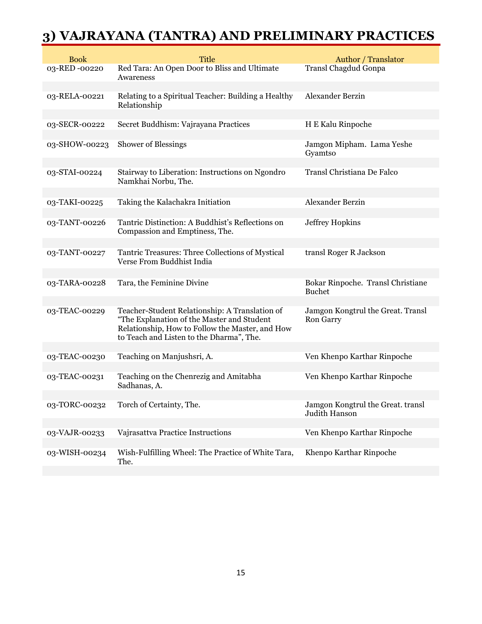## **3) VAJRAYANA (TANTRA) AND PRELIMINARY PRACTICES**

| <b>Title</b>                                                                                  | Author / Translator                                                                                                                                                                                                                                                                |
|-----------------------------------------------------------------------------------------------|------------------------------------------------------------------------------------------------------------------------------------------------------------------------------------------------------------------------------------------------------------------------------------|
| Red Tara: An Open Door to Bliss and Ultimate<br>Awareness                                     | Transl Chagdud Gonpa                                                                                                                                                                                                                                                               |
| Relating to a Spiritual Teacher: Building a Healthy<br>Relationship                           | Alexander Berzin                                                                                                                                                                                                                                                                   |
| Secret Buddhism: Vajrayana Practices                                                          | H E Kalu Rinpoche                                                                                                                                                                                                                                                                  |
| <b>Shower of Blessings</b>                                                                    | Jamgon Mipham. Lama Yeshe<br>Gyamtso                                                                                                                                                                                                                                               |
| Stairway to Liberation: Instructions on Ngondro<br>Namkhai Norbu, The.                        | Transl Christiana De Falco                                                                                                                                                                                                                                                         |
|                                                                                               | Alexander Berzin                                                                                                                                                                                                                                                                   |
|                                                                                               |                                                                                                                                                                                                                                                                                    |
| Compassion and Emptiness, The.                                                                | <b>Jeffrey Hopkins</b>                                                                                                                                                                                                                                                             |
| Tantric Treasures: Three Collections of Mystical<br>Verse From Buddhist India                 | transl Roger R Jackson                                                                                                                                                                                                                                                             |
|                                                                                               |                                                                                                                                                                                                                                                                                    |
|                                                                                               | Bokar Rinpoche. Transl Christiane<br><b>Buchet</b>                                                                                                                                                                                                                                 |
|                                                                                               | Jamgon Kongtrul the Great. Transl                                                                                                                                                                                                                                                  |
| "The Explanation of the Master and Student<br>Relationship, How to Follow the Master, and How | <b>Ron Garry</b>                                                                                                                                                                                                                                                                   |
|                                                                                               |                                                                                                                                                                                                                                                                                    |
|                                                                                               | Ven Khenpo Karthar Rinpoche                                                                                                                                                                                                                                                        |
| Teaching on the Chenrezig and Amitabha<br>Sadhanas, A.                                        | Ven Khenpo Karthar Rinpoche                                                                                                                                                                                                                                                        |
| Torch of Certainty, The.                                                                      | Jamgon Kongtrul the Great. transl<br>Judith Hanson                                                                                                                                                                                                                                 |
|                                                                                               | Ven Khenpo Karthar Rinpoche                                                                                                                                                                                                                                                        |
|                                                                                               |                                                                                                                                                                                                                                                                                    |
| Wish-Fulfilling Wheel: The Practice of White Tara,<br>The.                                    | Khenpo Karthar Rinpoche                                                                                                                                                                                                                                                            |
|                                                                                               | Taking the Kalachakra Initiation<br>Tantric Distinction: A Buddhist's Reflections on<br>Tara, the Feminine Divine<br>Teacher-Student Relationship: A Translation of<br>to Teach and Listen to the Dharma", The.<br>Teaching on Manjushsri, A.<br>Vajrasattva Practice Instructions |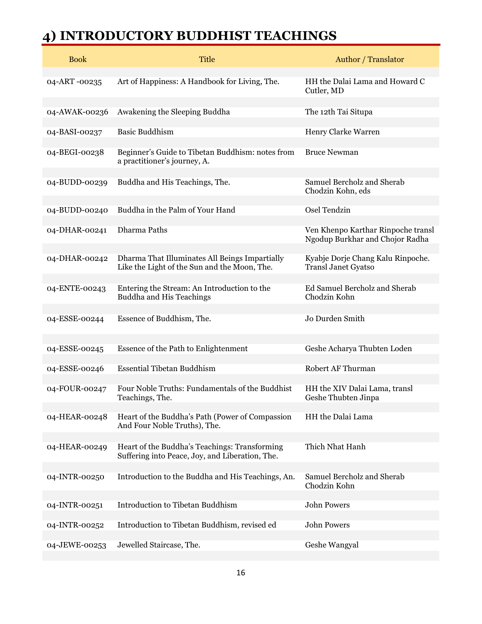## **4) INTRODUCTORY BUDDHIST TEACHINGS**

| <b>Book</b>   | <b>Title</b>                                                                                     | Author / Translator                                                   |
|---------------|--------------------------------------------------------------------------------------------------|-----------------------------------------------------------------------|
| 04-ART-00235  | Art of Happiness: A Handbook for Living, The.                                                    | HH the Dalai Lama and Howard C<br>Cutler, MD                          |
| 04-AWAK-00236 | Awakening the Sleeping Buddha                                                                    | The 12th Tai Situpa                                                   |
| 04-BASI-00237 | <b>Basic Buddhism</b>                                                                            | Henry Clarke Warren                                                   |
| 04-BEGI-00238 | Beginner's Guide to Tibetan Buddhism: notes from<br>a practitioner's journey, A.                 | <b>Bruce Newman</b>                                                   |
| 04-BUDD-00239 | Buddha and His Teachings, The.                                                                   | Samuel Bercholz and Sherab<br>Chodzin Kohn, eds                       |
| 04-BUDD-00240 | Buddha in the Palm of Your Hand                                                                  | Osel Tendzin                                                          |
| 04-DHAR-00241 | Dharma Paths                                                                                     | Ven Khenpo Karthar Rinpoche transl<br>Ngodup Burkhar and Chojor Radha |
| 04-DHAR-00242 | Dharma That Illuminates All Beings Impartially<br>Like the Light of the Sun and the Moon, The.   | Kyabje Dorje Chang Kalu Rinpoche.<br>Transl Janet Gyatso              |
| 04-ENTE-00243 | Entering the Stream: An Introduction to the<br><b>Buddha and His Teachings</b>                   | Ed Samuel Bercholz and Sherab<br>Chodzin Kohn                         |
| 04-ESSE-00244 | Essence of Buddhism, The.                                                                        | Jo Durden Smith                                                       |
| 04-ESSE-00245 | Essence of the Path to Enlightenment                                                             | Geshe Acharya Thubten Loden                                           |
| 04-ESSE-00246 | <b>Essential Tibetan Buddhism</b>                                                                | Robert AF Thurman                                                     |
| 04-FOUR-00247 | Four Noble Truths: Fundamentals of the Buddhist<br>Teachings, The.                               | HH the XIV Dalai Lama, transl<br>Geshe Thubten Jinpa                  |
| 04-HEAR-00248 | Heart of the Buddha's Path (Power of Compassion<br>And Four Noble Truths), The.                  | HH the Dalai Lama                                                     |
| 04-HEAR-00249 | Heart of the Buddha's Teachings: Transforming<br>Suffering into Peace, Joy, and Liberation, The. | Thich Nhat Hanh                                                       |
| 04-INTR-00250 | Introduction to the Buddha and His Teachings, An.                                                | Samuel Bercholz and Sherab<br>Chodzin Kohn                            |
| 04-INTR-00251 | Introduction to Tibetan Buddhism                                                                 | <b>John Powers</b>                                                    |
| 04-INTR-00252 | Introduction to Tibetan Buddhism, revised ed                                                     | <b>John Powers</b>                                                    |
| 04-JEWE-00253 | Jewelled Staircase, The.                                                                         | Geshe Wangyal                                                         |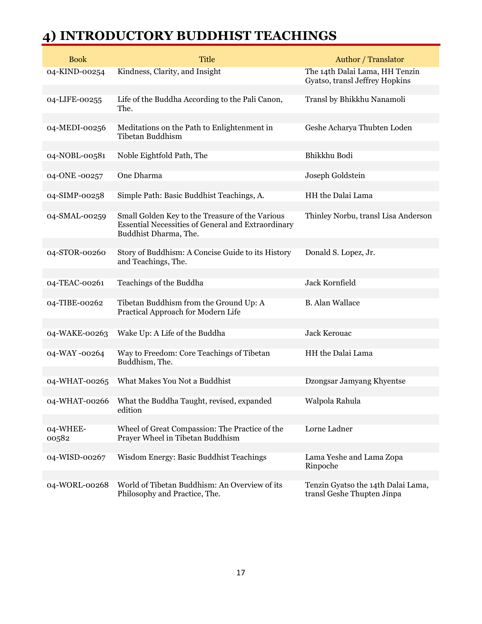#### **4) INTRODUCTORY BUDDHIST TEACHINGS**

| <b>Book</b>       | <b>Title</b>                                                                                                                          | <b>Author</b> / Translator                                       |
|-------------------|---------------------------------------------------------------------------------------------------------------------------------------|------------------------------------------------------------------|
| 04-KIND-00254     | Kindness, Clarity, and Insight                                                                                                        | The 14th Dalai Lama, HH Tenzin<br>Gyatso, transl Jeffrey Hopkins |
| 04-LIFE-00255     | Life of the Buddha According to the Pali Canon,<br>The.                                                                               | Transl by Bhikkhu Nanamoli                                       |
| 04-MEDI-00256     | Meditations on the Path to Enlightenment in<br>Tibetan Buddhism                                                                       | Geshe Acharya Thubten Loden                                      |
| 04-NOBL-00581     | Noble Eightfold Path, The                                                                                                             | Bhikkhu Bodi                                                     |
| 04-ONE-00257      | One Dharma                                                                                                                            | Joseph Goldstein                                                 |
| 04-SIMP-00258     | Simple Path: Basic Buddhist Teachings, A.                                                                                             | HH the Dalai Lama                                                |
| 04-SMAL-00259     | Small Golden Key to the Treasure of the Various<br><b>Essential Necessities of General and Extraordinary</b><br>Buddhist Dharma, The. | Thinley Norbu, transl Lisa Anderson                              |
| 04-STOR-00260     | Story of Buddhism: A Concise Guide to its History<br>and Teachings, The.                                                              | Donald S. Lopez, Jr.                                             |
| 04-TEAC-00261     | Teachings of the Buddha                                                                                                               | Jack Kornfield                                                   |
| 04-TIBE-00262     | Tibetan Buddhism from the Ground Up: A<br>Practical Approach for Modern Life                                                          | <b>B.</b> Alan Wallace                                           |
| 04-WAKE-00263     | Wake Up: A Life of the Buddha                                                                                                         | Jack Kerouac                                                     |
|                   |                                                                                                                                       |                                                                  |
| 04-WAY-00264      | Way to Freedom: Core Teachings of Tibetan<br>Buddhism, The.                                                                           | HH the Dalai Lama                                                |
| 04-WHAT-00265     | What Makes You Not a Buddhist                                                                                                         | Dzongsar Jamyang Khyentse                                        |
|                   | 04-WHAT-00266  What the Buddha Taught, revised, expanded<br>edition                                                                   | Walpola Rahula                                                   |
| 04-WHEE-<br>00582 | Wheel of Great Compassion: The Practice of the<br>Prayer Wheel in Tibetan Buddhism                                                    | Lorne Ladner                                                     |
| 04-WISD-00267     | Wisdom Energy: Basic Buddhist Teachings                                                                                               | Lama Yeshe and Lama Zopa<br>Rinpoche                             |
| 04-WORL-00268     | World of Tibetan Buddhism: An Overview of its<br>Philosophy and Practice, The.                                                        | Tenzin Gyatso the 14th Dalai Lama,<br>transl Geshe Thupten Jinpa |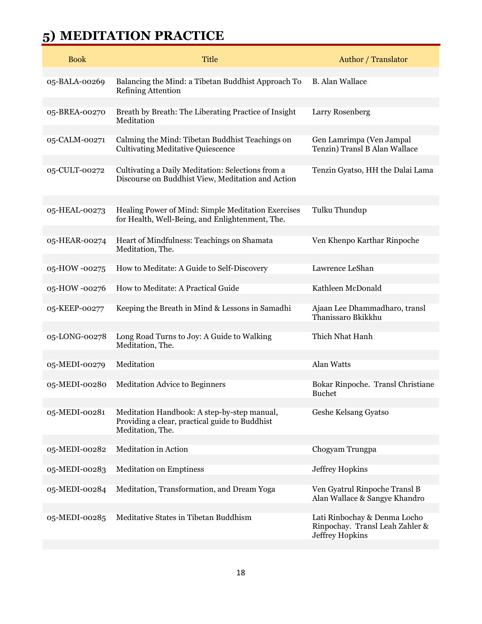## **5) MEDITATION PRACTICE**

| <b>Book</b>   | <b>Title</b>                                                                                                      | Author / Translator                                                                |
|---------------|-------------------------------------------------------------------------------------------------------------------|------------------------------------------------------------------------------------|
| 05-BALA-00269 | Balancing the Mind: a Tibetan Buddhist Approach To<br><b>Refining Attention</b>                                   | <b>B.</b> Alan Wallace                                                             |
| 05-BREA-00270 | Breath by Breath: The Liberating Practice of Insight<br>Meditation                                                | Larry Rosenberg                                                                    |
| 05-CALM-00271 | Calming the Mind: Tibetan Buddhist Teachings on<br><b>Cultivating Meditative Quiescence</b>                       | Gen Lamrimpa (Ven Jampal<br>Tenzin) Transl B Alan Wallace                          |
| 05-CULT-00272 | Cultivating a Daily Meditation: Selections from a<br>Discourse on Buddhist View, Meditation and Action            | Tenzin Gyatso, HH the Dalai Lama                                                   |
| 05-HEAL-00273 | Healing Power of Mind: Simple Meditation Exercises<br>for Health, Well-Being, and Enlightenment, The.             | Tulku Thundup                                                                      |
| 05-HEAR-00274 | Heart of Mindfulness: Teachings on Shamata<br>Meditation, The.                                                    | Ven Khenpo Karthar Rinpoche                                                        |
| 05-HOW-00275  | How to Meditate: A Guide to Self-Discovery                                                                        | Lawrence LeShan                                                                    |
| 05-HOW-00276  | How to Meditate: A Practical Guide                                                                                | Kathleen McDonald                                                                  |
| 05-KEEP-00277 | Keeping the Breath in Mind & Lessons in Samadhi                                                                   | Ajaan Lee Dhammadharo, transl<br>Thanissaro Bkikkhu                                |
| 05-LONG-00278 | Long Road Turns to Joy: A Guide to Walking<br>Meditation, The.                                                    | Thich Nhat Hanh                                                                    |
| 05-MEDI-00279 | Meditation                                                                                                        | Alan Watts                                                                         |
| 05-MEDI-00280 | <b>Meditation Advice to Beginners</b>                                                                             | Bokar Rinpoche. Transl Christiane<br><b>Buchet</b>                                 |
| 05-MEDI-00281 | Meditation Handbook: A step-by-step manual,<br>Providing a clear, practical guide to Buddhist<br>Meditation, The. | Geshe Kelsang Gyatso                                                               |
| 05-MEDI-00282 | Meditation in Action                                                                                              | Chogyam Trungpa                                                                    |
| 05-MEDI-00283 | <b>Meditation on Emptiness</b>                                                                                    | Jeffrey Hopkins                                                                    |
| 05-MEDI-00284 | Meditation, Transformation, and Dream Yoga                                                                        | Ven Gyatrul Rinpoche Transl B<br>Alan Wallace & Sangye Khandro                     |
| 05-MEDI-00285 | Meditative States in Tibetan Buddhism                                                                             | Lati Rinbochay & Denma Locho<br>Rinpochay. Transl Leah Zahler &<br>Jeffrey Hopkins |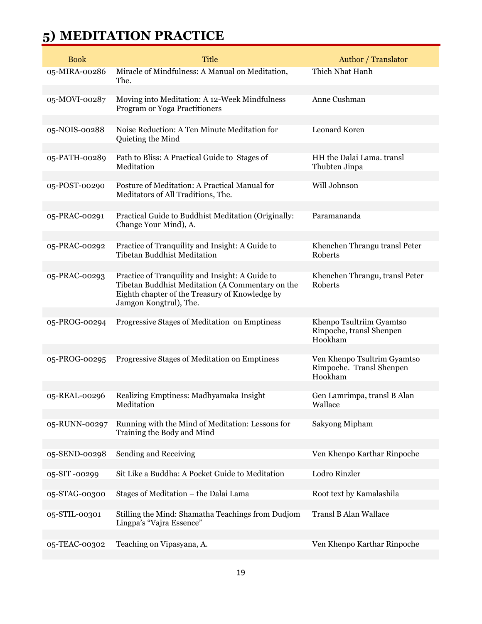## **5) MEDITATION PRACTICE**

| <b>Book</b>   | <b>Title</b>                                                                                                                                                                    | Author / Translator                                                |
|---------------|---------------------------------------------------------------------------------------------------------------------------------------------------------------------------------|--------------------------------------------------------------------|
| 05-MIRA-00286 | Miracle of Mindfulness: A Manual on Meditation,<br>The.                                                                                                                         | Thich Nhat Hanh                                                    |
| 05-MOVI-00287 | Moving into Meditation: A 12-Week Mindfulness<br>Program or Yoga Practitioners                                                                                                  | Anne Cushman                                                       |
| 05-NOIS-00288 | Noise Reduction: A Ten Minute Meditation for<br>Quieting the Mind                                                                                                               | Leonard Koren                                                      |
| 05-PATH-00289 | Path to Bliss: A Practical Guide to Stages of<br>Meditation                                                                                                                     | HH the Dalai Lama. transl<br>Thubten Jinpa                         |
| 05-POST-00290 | Posture of Meditation: A Practical Manual for<br>Meditators of All Traditions, The.                                                                                             | Will Johnson                                                       |
| 05-PRAC-00291 | Practical Guide to Buddhist Meditation (Originally:<br>Change Your Mind), A.                                                                                                    | Paramananda                                                        |
| 05-PRAC-00292 | Practice of Tranquility and Insight: A Guide to<br><b>Tibetan Buddhist Meditation</b>                                                                                           | Khenchen Thrangu transl Peter<br>Roberts                           |
| 05-PRAC-00293 | Practice of Tranquility and Insight: A Guide to<br>Tibetan Buddhist Meditation (A Commentary on the<br>Eighth chapter of the Treasury of Knowledge by<br>Jamgon Kongtrul), The. | Khenchen Thrangu, transl Peter<br>Roberts                          |
| 05-PROG-00294 | Progressive Stages of Meditation on Emptiness                                                                                                                                   | Khenpo Tsultriim Gyamtso<br>Rinpoche, transl Shenpen<br>Hookham    |
| 05-PROG-00295 | Progressive Stages of Meditation on Emptiness                                                                                                                                   | Ven Khenpo Tsultrim Gyamtso<br>Rimpoche. Transl Shenpen<br>Hookham |
| 05-REAL-00296 | Realizing Emptiness: Madhyamaka Insight<br>Meditation                                                                                                                           | Gen Lamrimpa, transl B Alan<br>Wallace                             |
| 05-RUNN-00297 | Running with the Mind of Meditation: Lessons for<br>Training the Body and Mind                                                                                                  | Sakyong Mipham                                                     |
| 05-SEND-00298 | Sending and Receiving                                                                                                                                                           | Ven Khenpo Karthar Rinpoche                                        |
| 05-SIT-00299  | Sit Like a Buddha: A Pocket Guide to Meditation                                                                                                                                 | Lodro Rinzler                                                      |
| 05-STAG-00300 | Stages of Meditation - the Dalai Lama                                                                                                                                           | Root text by Kamalashila                                           |
| 05-STIL-00301 | Stilling the Mind: Shamatha Teachings from Dudjom<br>Lingpa's "Vajra Essence"                                                                                                   | <b>Transl B Alan Wallace</b>                                       |
| 05-TEAC-00302 | Teaching on Vipasyana, A.                                                                                                                                                       | Ven Khenpo Karthar Rinpoche                                        |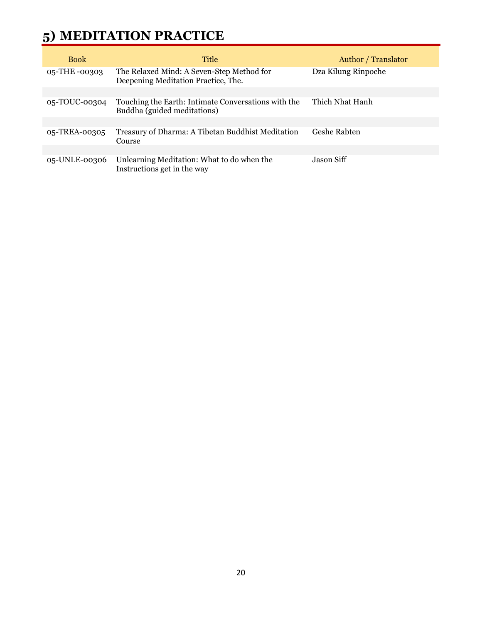# **5) MEDITATION PRACTICE**

| <b>Book</b>   | Title                                                                              | <b>Author</b> / Translator |
|---------------|------------------------------------------------------------------------------------|----------------------------|
| 05-THE -00303 | The Relaxed Mind: A Seven-Step Method for<br>Deepening Meditation Practice, The.   | Dza Kilung Rinpoche        |
|               |                                                                                    |                            |
| 05-TOUC-00304 | Touching the Earth: Intimate Conversations with the<br>Buddha (guided meditations) | Thich Nhat Hanh            |
|               |                                                                                    |                            |
| 05-TREA-00305 | Treasury of Dharma: A Tibetan Buddhist Meditation<br>Course                        | Geshe Rabten               |
|               |                                                                                    |                            |
| 05-UNLE-00306 | Unlearning Meditation: What to do when the<br>Instructions get in the way          | Jason Siff                 |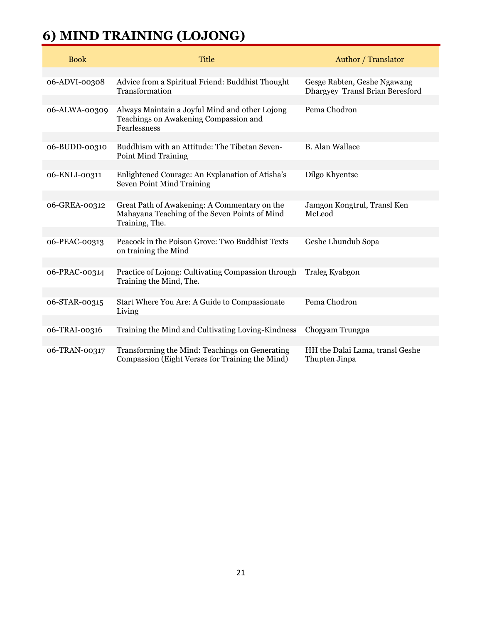## **6) MIND TRAINING (LOJONG)**

| <b>Book</b>   | <b>Title</b>                                                                                                    | <b>Author</b> / Translator                                     |
|---------------|-----------------------------------------------------------------------------------------------------------------|----------------------------------------------------------------|
| 06-ADVI-00308 | Advice from a Spiritual Friend: Buddhist Thought<br>Transformation                                              | Gesge Rabten, Geshe Ngawang<br>Dhargyey Transl Brian Beresford |
| 06-ALWA-00309 | Always Maintain a Joyful Mind and other Lojong<br>Teachings on Awakening Compassion and<br>Fearlessness         | Pema Chodron                                                   |
| 06-BUDD-00310 | Buddhism with an Attitude: The Tibetan Seven-<br><b>Point Mind Training</b>                                     | <b>B.</b> Alan Wallace                                         |
| 06-ENLI-00311 | Enlightened Courage: An Explanation of Atisha's<br>Seven Point Mind Training                                    | Dilgo Khyentse                                                 |
| 06-GREA-00312 | Great Path of Awakening: A Commentary on the<br>Mahayana Teaching of the Seven Points of Mind<br>Training, The. | Jamgon Kongtrul, Transl Ken<br>McLeod                          |
| 06-PEAC-00313 | Peacock in the Poison Grove: Two Buddhist Texts<br>on training the Mind                                         | Geshe Lhundub Sopa                                             |
| 06-PRAC-00314 | Practice of Lojong: Cultivating Compassion through<br>Training the Mind, The.                                   | Traleg Kyabgon                                                 |
| 06-STAR-00315 | Start Where You Are: A Guide to Compassionate<br>Living                                                         | Pema Chodron                                                   |
| 06-TRAI-00316 | Training the Mind and Cultivating Loving-Kindness                                                               | Chogyam Trungpa                                                |
| 06-TRAN-00317 | Transforming the Mind: Teachings on Generating<br>Compassion (Eight Verses for Training the Mind)               | HH the Dalai Lama, transl Geshe<br>Thupten Jinpa               |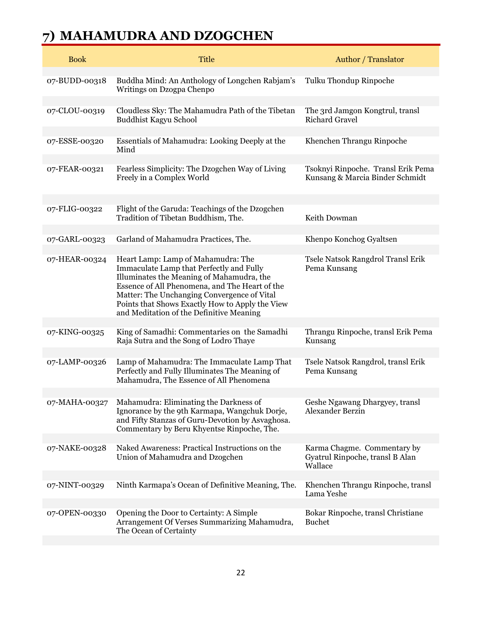# **7) MAHAMUDRA AND DZOGCHEN**

| <b>Book</b>   | <b>Title</b>                                                                                                                                                                                                                                                                                                                | Author / Translator                                                       |
|---------------|-----------------------------------------------------------------------------------------------------------------------------------------------------------------------------------------------------------------------------------------------------------------------------------------------------------------------------|---------------------------------------------------------------------------|
| 07-BUDD-00318 | Buddha Mind: An Anthology of Longchen Rabjam's<br>Writings on Dzogpa Chenpo                                                                                                                                                                                                                                                 | Tulku Thondup Rinpoche                                                    |
| 07-CLOU-00319 | Cloudless Sky: The Mahamudra Path of the Tibetan<br>Buddhist Kagyu School                                                                                                                                                                                                                                                   | The 3rd Jamgon Kongtrul, transl<br><b>Richard Gravel</b>                  |
| 07-ESSE-00320 | Essentials of Mahamudra: Looking Deeply at the<br>Mind                                                                                                                                                                                                                                                                      | Khenchen Thrangu Rinpoche                                                 |
| 07-FEAR-00321 | Fearless Simplicity: The Dzogchen Way of Living<br>Freely in a Complex World                                                                                                                                                                                                                                                | Tsoknyi Rinpoche. Transl Erik Pema<br>Kunsang & Marcia Binder Schmidt     |
| 07-FLIG-00322 | Flight of the Garuda: Teachings of the Dzogchen<br>Tradition of Tibetan Buddhism, The.                                                                                                                                                                                                                                      | Keith Dowman                                                              |
| 07-GARL-00323 | Garland of Mahamudra Practices, The.                                                                                                                                                                                                                                                                                        | Khenpo Konchog Gyaltsen                                                   |
| 07-HEAR-00324 | Heart Lamp: Lamp of Mahamudra: The<br>Immaculate Lamp that Perfectly and Fully<br>Illuminates the Meaning of Mahamudra, the<br>Essence of All Phenomena, and The Heart of the<br>Matter: The Unchanging Convergence of Vital<br>Points that Shows Exactly How to Apply the View<br>and Meditation of the Definitive Meaning | Tsele Natsok Rangdrol Transl Erik<br>Pema Kunsang                         |
| 07-KING-00325 | King of Samadhi: Commentaries on the Samadhi<br>Raja Sutra and the Song of Lodro Thaye                                                                                                                                                                                                                                      | Thrangu Rinpoche, transl Erik Pema<br>Kunsang                             |
| 07-LAMP-00326 | Lamp of Mahamudra: The Immaculate Lamp That<br>Perfectly and Fully Illuminates The Meaning of<br>Mahamudra, The Essence of All Phenomena                                                                                                                                                                                    | Tsele Natsok Rangdrol, transl Erik<br>Pema Kunsang                        |
| 07-MAHA-00327 | Mahamudra: Eliminating the Darkness of<br>Ignorance by the 9th Karmapa, Wangchuk Dorje,<br>and Fifty Stanzas of Guru-Devotion by Asvaghosa.<br>Commentary by Beru Khyentse Rinpoche, The.                                                                                                                                   | Geshe Ngawang Dhargyey, transl<br>Alexander Berzin                        |
| 07-NAKE-00328 | Naked Awareness: Practical Instructions on the<br>Union of Mahamudra and Dzogchen                                                                                                                                                                                                                                           | Karma Chagme. Commentary by<br>Gyatrul Rinpoche, transl B Alan<br>Wallace |
| 07-NINT-00329 | Ninth Karmapa's Ocean of Definitive Meaning, The.                                                                                                                                                                                                                                                                           | Khenchen Thrangu Rinpoche, transl<br>Lama Yeshe                           |
| 07-OPEN-00330 | Opening the Door to Certainty: A Simple<br>Arrangement Of Verses Summarizing Mahamudra,<br>The Ocean of Certainty                                                                                                                                                                                                           | Bokar Rinpoche, transl Christiane<br><b>Buchet</b>                        |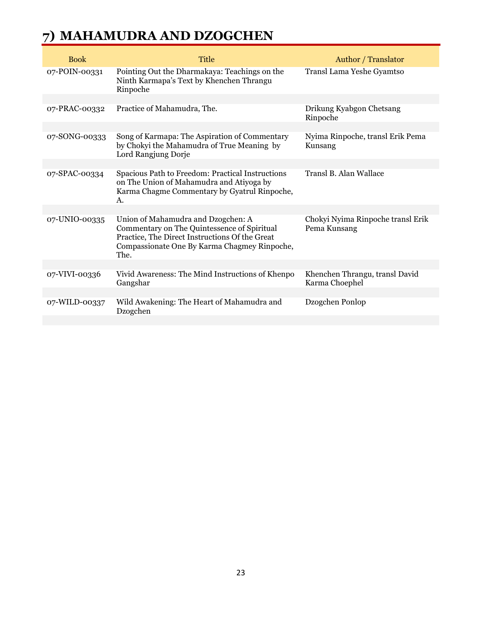#### **7) MAHAMUDRA AND DZOGCHEN**

| <b>Book</b>   | <b>Title</b>                                                                                                                                                                                | Author / Translator                               |
|---------------|---------------------------------------------------------------------------------------------------------------------------------------------------------------------------------------------|---------------------------------------------------|
| 07-POIN-00331 | Pointing Out the Dharmakaya: Teachings on the<br>Ninth Karmapa's Text by Khenchen Thrangu<br>Rinpoche                                                                                       | Transl Lama Yeshe Gyamtso                         |
|               |                                                                                                                                                                                             |                                                   |
| 07-PRAC-00332 | Practice of Mahamudra, The.                                                                                                                                                                 | Drikung Kyabgon Chetsang<br>Rinpoche              |
|               |                                                                                                                                                                                             |                                                   |
| 07-SONG-00333 | Song of Karmapa: The Aspiration of Commentary<br>by Chokyi the Mahamudra of True Meaning by<br>Lord Rangjung Dorje                                                                          | Nyima Rinpoche, transl Erik Pema<br>Kunsang       |
|               |                                                                                                                                                                                             |                                                   |
| 07-SPAC-00334 | Spacious Path to Freedom: Practical Instructions<br>on The Union of Mahamudra and Atiyoga by<br>Karma Chagme Commentary by Gyatrul Rinpoche,<br>А.                                          | Transl B. Alan Wallace                            |
|               |                                                                                                                                                                                             |                                                   |
| 07-UNIO-00335 | Union of Mahamudra and Dzogchen: A<br>Commentary on The Quintessence of Spiritual<br>Practice, The Direct Instructions Of the Great<br>Compassionate One By Karma Chagmey Rinpoche,<br>The. | Chokyi Nyima Rinpoche transl Erik<br>Pema Kunsang |
|               |                                                                                                                                                                                             |                                                   |
| 07-VIVI-00336 | Vivid Awareness: The Mind Instructions of Khenpo<br>Gangshar                                                                                                                                | Khenchen Thrangu, transl David<br>Karma Choephel  |
|               |                                                                                                                                                                                             |                                                   |
| 07-WILD-00337 | Wild Awakening: The Heart of Mahamudra and<br>Dzogchen                                                                                                                                      | Dzogchen Ponlop                                   |
|               |                                                                                                                                                                                             |                                                   |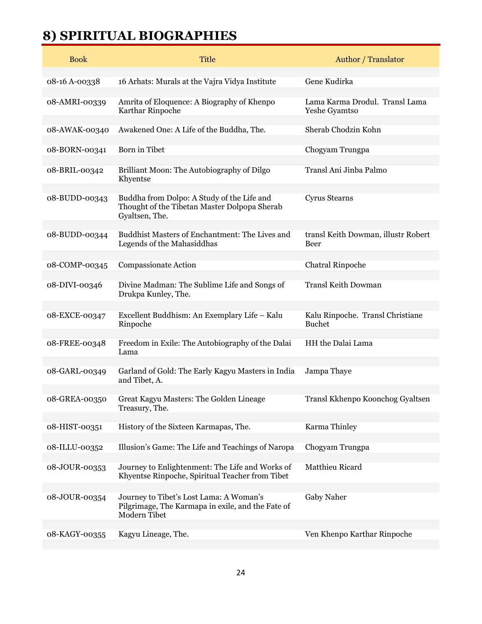## **8) SPIRITUAL BIOGRAPHIES**

| <b>Book</b>   | <b>Title</b>                                                                                                 | Author / Translator                               |
|---------------|--------------------------------------------------------------------------------------------------------------|---------------------------------------------------|
| 08-16 A-00338 | 16 Arhats: Murals at the Vajra Vidya Institute                                                               | Gene Kudirka                                      |
| 08-AMRI-00339 | Amrita of Eloquence: A Biography of Khenpo<br>Karthar Rinpoche                                               | Lama Karma Drodul. Transl Lama<br>Yeshe Gyamtso   |
| 08-AWAK-00340 | Awakened One: A Life of the Buddha, The.                                                                     | Sherab Chodzin Kohn                               |
| 08-BORN-00341 | Born in Tibet                                                                                                | Chogyam Trungpa                                   |
| 08-BRIL-00342 | Brilliant Moon: The Autobiography of Dilgo<br>Khyentse                                                       | Transl Ani Jinba Palmo                            |
| 08-BUDD-00343 | Buddha from Dolpo: A Study of the Life and<br>Thought of the Tibetan Master Dolpopa Sherab<br>Gyaltsen, The. | <b>Cyrus Stearns</b>                              |
| 08-BUDD-00344 | Buddhist Masters of Enchantment: The Lives and<br>Legends of the Mahasiddhas                                 | transl Keith Dowman, illustr Robert<br>Beer       |
| 08-COMP-00345 | Compassionate Action                                                                                         | <b>Chatral Rinpoche</b>                           |
| 08-DIVI-00346 | Divine Madman: The Sublime Life and Songs of<br>Drukpa Kunley, The.                                          | <b>Transl Keith Dowman</b>                        |
| 08-EXCE-00347 | Excellent Buddhism: An Exemplary Life - Kalu<br>Rinpoche                                                     | Kalu Rinpoche. Transl Christiane<br><b>Buchet</b> |
| 08-FREE-00348 | Freedom in Exile: The Autobiography of the Dalai<br>Lama                                                     | HH the Dalai Lama                                 |
| 08-GARL-00349 | Garland of Gold: The Early Kagyu Masters in India<br>and Tibet, A.                                           | Jampa Thaye                                       |
| 08-GREA-00350 | Great Kagyu Masters: The Golden Lineage<br>Treasury, The.                                                    | Transl Kkhenpo Koonchog Gyaltsen                  |
| 08-HIST-00351 | History of the Sixteen Karmapas, The.                                                                        | Karma Thinley                                     |
| 08-ILLU-00352 | Illusion's Game: The Life and Teachings of Naropa                                                            | Chogyam Trungpa                                   |
| 08-JOUR-00353 | Journey to Enlightenment: The Life and Works of<br>Khyentse Rinpoche, Spiritual Teacher from Tibet           | Matthieu Ricard                                   |
| 08-JOUR-00354 | Journey to Tibet's Lost Lama: A Woman's<br>Pilgrimage, The Karmapa in exile, and the Fate of<br>Modern Tibet | Gaby Naher                                        |
| 08-KAGY-00355 | Kagyu Lineage, The.                                                                                          | Ven Khenpo Karthar Rinpoche                       |
|               |                                                                                                              |                                                   |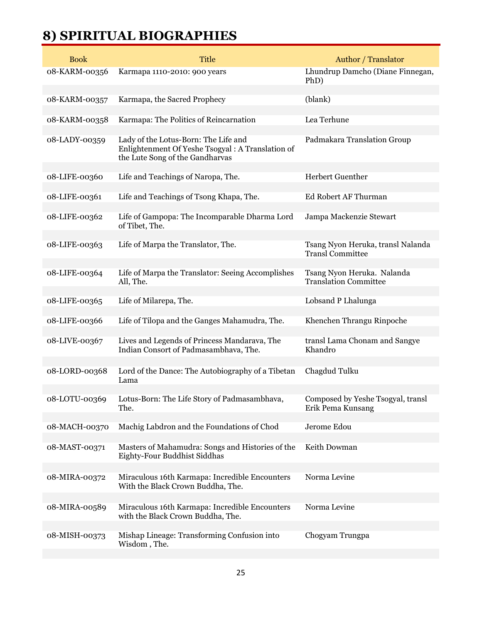## **8) SPIRITUAL BIOGRAPHIES**

| <b>Book</b>   | <b>Title</b>                                                                                                                | Author / Translator                                          |
|---------------|-----------------------------------------------------------------------------------------------------------------------------|--------------------------------------------------------------|
| 08-KARM-00356 | Karmapa 1110-2010: 900 years                                                                                                | Lhundrup Damcho (Diane Finnegan,<br>PhD)                     |
| 08-KARM-00357 | Karmapa, the Sacred Prophecy                                                                                                | (blank)                                                      |
| 08-KARM-00358 | Karmapa: The Politics of Reincarnation                                                                                      | Lea Terhune                                                  |
| 08-LADY-00359 | Lady of the Lotus-Born: The Life and<br>Enlightenment Of Yeshe Tsogyal: A Translation of<br>the Lute Song of the Gandharvas | Padmakara Translation Group                                  |
| 08-LIFE-00360 | Life and Teachings of Naropa, The.                                                                                          | Herbert Guenther                                             |
| 08-LIFE-00361 | Life and Teachings of Tsong Khapa, The.                                                                                     | Ed Robert AF Thurman                                         |
| 08-LIFE-00362 | Life of Gampopa: The Incomparable Dharma Lord<br>of Tibet, The.                                                             | Jampa Mackenzie Stewart                                      |
| 08-LIFE-00363 | Life of Marpa the Translator, The.                                                                                          | Tsang Nyon Heruka, transl Nalanda<br><b>Transl Committee</b> |
| 08-LIFE-00364 | Life of Marpa the Translator: Seeing Accomplishes<br>All, The.                                                              | Tsang Nyon Heruka. Nalanda<br><b>Translation Committee</b>   |
| 08-LIFE-00365 | Life of Milarepa, The.                                                                                                      | Lobsand P Lhalunga                                           |
| 08-LIFE-00366 | Life of Tilopa and the Ganges Mahamudra, The.                                                                               | Khenchen Thrangu Rinpoche                                    |
| 08-LIVE-00367 | Lives and Legends of Princess Mandarava, The<br>Indian Consort of Padmasambhava, The.                                       | transl Lama Chonam and Sangye<br>Khandro                     |
| 08-LORD-00368 | Lord of the Dance: The Autobiography of a Tibetan<br>Lama                                                                   | Chagdud Tulku                                                |
| 08-LOTU-00369 | Lotus-Born: The Life Story of Padmasambhava,<br>The.                                                                        | Composed by Yeshe Tsogyal, transl<br>Erik Pema Kunsang       |
| 08-MACH-00370 | Machig Labdron and the Foundations of Chod                                                                                  | Jerome Edou                                                  |
| 08-MAST-00371 | Masters of Mahamudra: Songs and Histories of the<br>Eighty-Four Buddhist Siddhas                                            | Keith Dowman                                                 |
| 08-MIRA-00372 | Miraculous 16th Karmapa: Incredible Encounters<br>With the Black Crown Buddha, The.                                         | Norma Levine                                                 |
| 08-MIRA-00589 | Miraculous 16th Karmapa: Incredible Encounters<br>with the Black Crown Buddha, The.                                         | Norma Levine                                                 |
| 08-MISH-00373 | Mishap Lineage: Transforming Confusion into<br>Wisdom, The.                                                                 | Chogyam Trungpa                                              |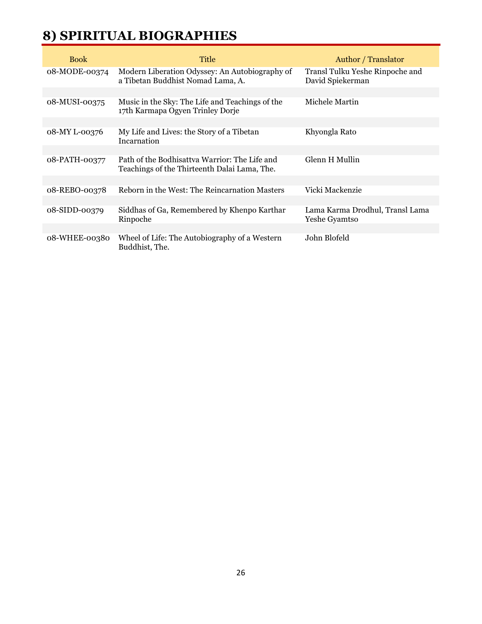## **8) SPIRITUAL BIOGRAPHIES**

| <b>Book</b>   | Title                                                                                         | Author / Translator                                 |
|---------------|-----------------------------------------------------------------------------------------------|-----------------------------------------------------|
| 08-MODE-00374 | Modern Liberation Odyssey: An Autobiography of<br>a Tibetan Buddhist Nomad Lama, A.           | Transl Tulku Yeshe Rinpoche and<br>David Spiekerman |
|               |                                                                                               |                                                     |
| 08-MUSI-00375 | Music in the Sky: The Life and Teachings of the<br>17th Karmapa Ogyen Trinley Dorje           | Michele Martin                                      |
|               |                                                                                               |                                                     |
| 08-MY L-00376 | My Life and Lives: the Story of a Tibetan<br>Incarnation                                      | Khyongla Rato                                       |
|               |                                                                                               |                                                     |
| 08-PATH-00377 | Path of the Bodhisattva Warrior: The Life and<br>Teachings of the Thirteenth Dalai Lama, The. | Glenn H Mullin                                      |
|               |                                                                                               |                                                     |
| 08-REBO-00378 | Reborn in the West: The Reincarnation Masters                                                 | Vicki Mackenzie                                     |
|               |                                                                                               |                                                     |
| 08-SIDD-00379 | Siddhas of Ga, Remembered by Khenpo Karthar<br>Rinpoche                                       | Lama Karma Drodhul, Transl Lama<br>Yeshe Gyamtso    |
|               |                                                                                               |                                                     |
| 08-WHEE-00380 | Wheel of Life: The Autobiography of a Western<br>Buddhist, The.                               | John Blofeld                                        |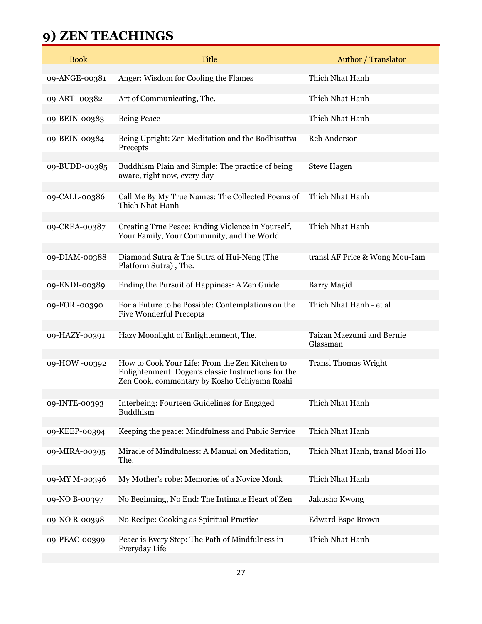## **9) ZEN TEACHINGS**

| <b>Title</b>                                                                                                                                          | <b>Author / Translator</b>               |
|-------------------------------------------------------------------------------------------------------------------------------------------------------|------------------------------------------|
| Anger: Wisdom for Cooling the Flames                                                                                                                  | Thich Nhat Hanh                          |
| Art of Communicating, The.                                                                                                                            | Thich Nhat Hanh                          |
| <b>Being Peace</b>                                                                                                                                    | Thich Nhat Hanh                          |
| Being Upright: Zen Meditation and the Bodhisattva<br>Precepts                                                                                         | <b>Reb Anderson</b>                      |
| Buddhism Plain and Simple: The practice of being<br>aware, right now, every day                                                                       | <b>Steve Hagen</b>                       |
| Call Me By My True Names: The Collected Poems of<br>Thich Nhat Hanh                                                                                   | Thich Nhat Hanh                          |
| Creating True Peace: Ending Violence in Yourself,<br>Your Family, Your Community, and the World                                                       | Thich Nhat Hanh                          |
| Diamond Sutra & The Sutra of Hui-Neng (The<br>Platform Sutra), The.                                                                                   | transl AF Price & Wong Mou-Iam           |
| Ending the Pursuit of Happiness: A Zen Guide                                                                                                          | Barry Magid                              |
| For a Future to be Possible: Contemplations on the<br><b>Five Wonderful Precepts</b>                                                                  | Thich Nhat Hanh - et al                  |
| Hazy Moonlight of Enlightenment, The.                                                                                                                 | Taizan Maezumi and Bernie<br>Glassman    |
| How to Cook Your Life: From the Zen Kitchen to<br>Enlightenment: Dogen's classic Instructions for the<br>Zen Cook, commentary by Kosho Uchiyama Roshi | <b>Transl Thomas Wright</b>              |
| Interbeing: Fourteen Guidelines for Engaged<br><b>Buddhism</b>                                                                                        | Thich Nhat Hanh                          |
| Keeping the peace: Mindfulness and Public Service                                                                                                     | Thich Nhat Hanh                          |
| Miracle of Mindfulness: A Manual on Meditation,<br>The.                                                                                               | Thich Nhat Hanh, transl Mobi Ho          |
| My Mother's robe: Memories of a Novice Monk                                                                                                           | Thich Nhat Hanh                          |
| No Beginning, No End: The Intimate Heart of Zen                                                                                                       | Jakusho Kwong                            |
|                                                                                                                                                       | <b>Edward Espe Brown</b>                 |
| Peace is Every Step: The Path of Mindfulness in                                                                                                       | Thich Nhat Hanh                          |
|                                                                                                                                                       | No Recipe: Cooking as Spiritual Practice |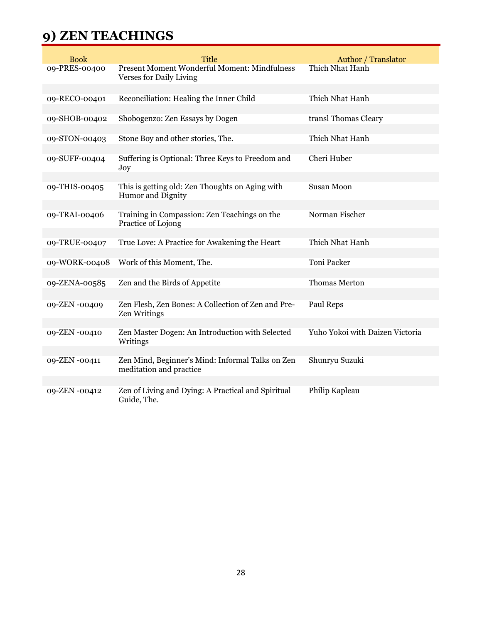## **9) ZEN TEACHINGS**

| <b>Book</b>   | <b>Title</b>                                                                | Author / Translator             |
|---------------|-----------------------------------------------------------------------------|---------------------------------|
| 09-PRES-00400 | Present Moment Wonderful Moment: Mindfulness<br>Verses for Daily Living     | Thich Nhat Hanh                 |
| 09-RECO-00401 | Reconciliation: Healing the Inner Child                                     | Thich Nhat Hanh                 |
|               |                                                                             |                                 |
| 09-SHOB-00402 | Shobogenzo: Zen Essays by Dogen                                             | transl Thomas Cleary            |
|               |                                                                             |                                 |
| 09-STON-00403 | Stone Boy and other stories, The.                                           | Thich Nhat Hanh                 |
| 09-SUFF-00404 | Suffering is Optional: Three Keys to Freedom and<br>Joy                     | Cheri Huber                     |
|               |                                                                             |                                 |
| 09-THIS-00405 | This is getting old: Zen Thoughts on Aging with<br><b>Humor</b> and Dignity | <b>Susan Moon</b>               |
| 09-TRAI-00406 |                                                                             | Norman Fischer                  |
|               | Training in Compassion: Zen Teachings on the<br>Practice of Lojong          |                                 |
| 09-TRUE-00407 | True Love: A Practice for Awakening the Heart                               | Thich Nhat Hanh                 |
|               |                                                                             |                                 |
| 09-WORK-00408 | Work of this Moment, The.                                                   | Toni Packer                     |
|               |                                                                             |                                 |
| 09-ZENA-00585 | Zen and the Birds of Appetite                                               | Thomas Merton                   |
| 09-ZEN -00409 | Zen Flesh, Zen Bones: A Collection of Zen and Pre-                          | Paul Reps                       |
|               | Zen Writings                                                                |                                 |
| 09-ZEN -00410 | Zen Master Dogen: An Introduction with Selected<br>Writings                 | Yuho Yokoi with Daizen Victoria |
|               |                                                                             |                                 |
| 09-ZEN -00411 | Zen Mind, Beginner's Mind: Informal Talks on Zen<br>meditation and practice | Shunryu Suzuki                  |
|               |                                                                             |                                 |
| 09-ZEN -00412 | Zen of Living and Dying: A Practical and Spiritual<br>Guide, The.           | Philip Kapleau                  |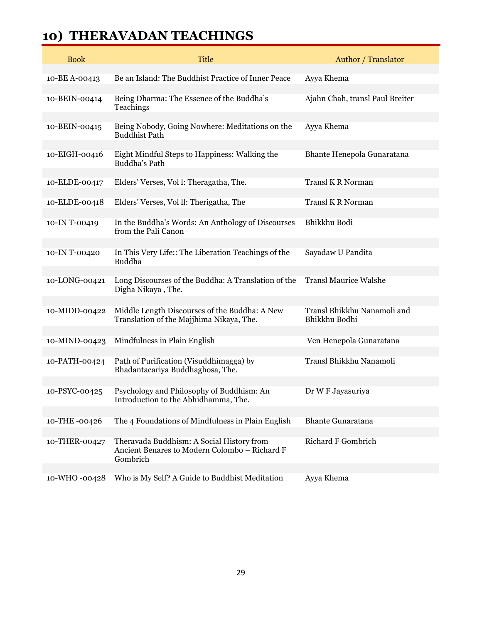#### **10) THERAVADAN TEACHINGS**

| <b>Book</b>   | <b>Title</b>                                                                                           | Author / Translator                          |
|---------------|--------------------------------------------------------------------------------------------------------|----------------------------------------------|
| 10-BE A-00413 | Be an Island: The Buddhist Practice of Inner Peace                                                     | Ayya Khema                                   |
| 10-BEIN-00414 | Being Dharma: The Essence of the Buddha's<br>Teachings                                                 | Ajahn Chah, transl Paul Breiter              |
| 10-BEIN-00415 | Being Nobody, Going Nowhere: Meditations on the<br><b>Buddhist Path</b>                                | Ayya Khema                                   |
| 10-EIGH-00416 | Eight Mindful Steps to Happiness: Walking the<br>Buddha's Path                                         | Bhante Henepola Gunaratana                   |
| 10-ELDE-00417 | Elders' Verses, Vol l: Theragatha, The.                                                                | <b>Transl K R Norman</b>                     |
| 10-ELDE-00418 | Elders' Verses, Vol II: Therigatha, The                                                                | Transl K R Norman                            |
| 10-IN T-00419 | In the Buddha's Words: An Anthology of Discourses<br>from the Pali Canon                               | Bhikkhu Bodi                                 |
| 10-IN T-00420 | In This Very Life:: The Liberation Teachings of the<br><b>Buddha</b>                                   | Sayadaw U Pandita                            |
| 10-LONG-00421 | Long Discourses of the Buddha: A Translation of the<br>Digha Nikaya, The.                              | <b>Transl Maurice Walshe</b>                 |
| 10-MIDD-00422 | Middle Length Discourses of the Buddha: A New<br>Translation of the Majjhima Nikaya, The.              | Transl Bhikkhu Nanamoli and<br>Bhikkhu Bodhi |
| 10-MIND-00423 | Mindfulness in Plain English                                                                           | Ven Henepola Gunaratana                      |
| 10-PATH-00424 | Path of Purification (Visuddhimagga) by<br>Bhadantacariya Buddhaghosa, The.                            | Transl Bhikkhu Nanamoli                      |
| 10-PSYC-00425 | Psychology and Philosophy of Buddhism: An<br>Introduction to the Abhidhamma, The.                      | Dr W F Jayasuriya                            |
| 10-THE-00426  | The 4 Foundations of Mindfulness in Plain English                                                      | <b>Bhante Gunaratana</b>                     |
| 10-THER-00427 | Theravada Buddhism: A Social History from<br>Ancient Benares to Modern Colombo - Richard F<br>Gombrich | Richard F Gombrich                           |
| 10-WHO-00428  | Who is My Self? A Guide to Buddhist Meditation                                                         | Ayya Khema                                   |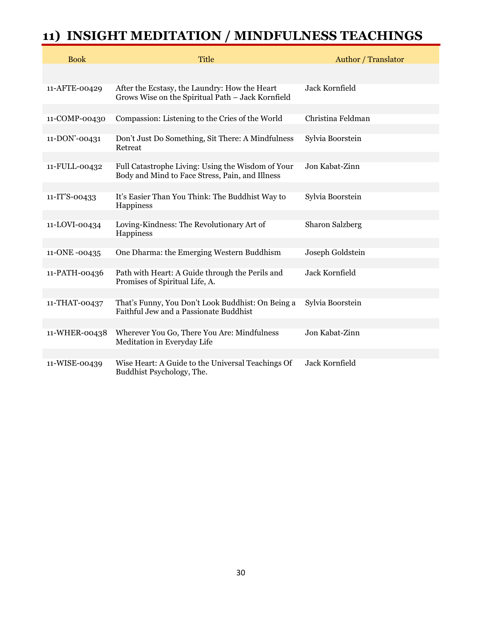## **11) INSIGHT MEDITATION / MINDFULNESS TEACHINGS**

| <b>Book</b>   | <b>Title</b>                                                                                         | Author / Translator |
|---------------|------------------------------------------------------------------------------------------------------|---------------------|
|               |                                                                                                      |                     |
| 11-AFTE-00429 | After the Ecstasy, the Laundry: How the Heart<br>Grows Wise on the Spiritual Path - Jack Kornfield   | Jack Kornfield      |
| 11-COMP-00430 | Compassion: Listening to the Cries of the World                                                      | Christina Feldman   |
| 11-DON'-00431 | Don't Just Do Something, Sit There: A Mindfulness<br>Retreat                                         | Sylvia Boorstein    |
| 11-FULL-00432 | Full Catastrophe Living: Using the Wisdom of Your<br>Body and Mind to Face Stress, Pain, and Illness | Jon Kabat-Zinn      |
| 11-IT'S-00433 | It's Easier Than You Think: The Buddhist Way to<br>Happiness                                         | Sylvia Boorstein    |
| 11-LOVI-00434 | Loving-Kindness: The Revolutionary Art of<br>Happiness                                               | Sharon Salzberg     |
| 11-ONE -00435 | One Dharma: the Emerging Western Buddhism                                                            | Joseph Goldstein    |
|               |                                                                                                      |                     |
| 11-PATH-00436 | Path with Heart: A Guide through the Perils and<br>Promises of Spiritual Life, A.                    | Jack Kornfield      |
| 11-THAT-00437 | That's Funny, You Don't Look Buddhist: On Being a<br>Faithful Jew and a Passionate Buddhist          | Sylvia Boorstein    |
|               |                                                                                                      |                     |
| 11-WHER-00438 | Wherever You Go, There You Are: Mindfulness<br>Meditation in Everyday Life                           | Jon Kabat-Zinn      |
|               |                                                                                                      |                     |
| 11-WISE-00439 | Wise Heart: A Guide to the Universal Teachings Of<br>Buddhist Psychology, The.                       | Jack Kornfield      |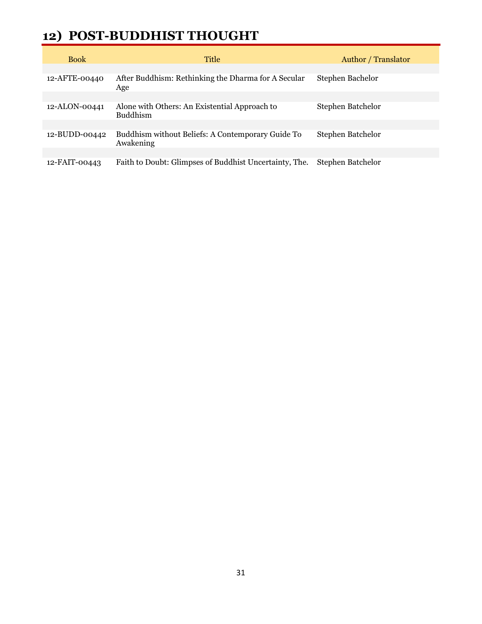#### **12) POST-BUDDHIST THOUGHT**

| <b>Book</b>   | <b>Title</b>                                                     | Author / Translator |
|---------------|------------------------------------------------------------------|---------------------|
|               |                                                                  |                     |
| 12-AFTE-00440 | After Buddhism: Rethinking the Dharma for A Secular<br>Age       | Stephen Bachelor    |
|               |                                                                  |                     |
| 12-ALON-00441 | Alone with Others: An Existential Approach to<br><b>Buddhism</b> | Stephen Batchelor   |
|               |                                                                  |                     |
| 12-BUDD-00442 | Buddhism without Beliefs: A Contemporary Guide To<br>Awakening   | Stephen Batchelor   |
|               |                                                                  |                     |
| 12-FAIT-00443 | Faith to Doubt: Glimpses of Buddhist Uncertainty, The.           | Stephen Batchelor   |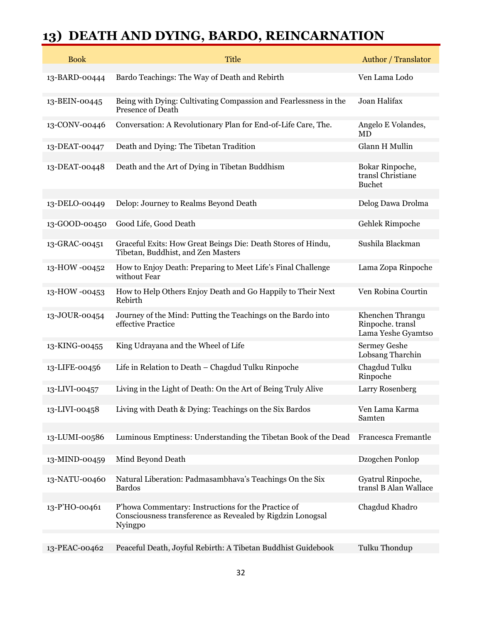## **13) DEATH AND DYING, BARDO, REINCARNATION**

| <b>Book</b>   | <b>Title</b>                                                                                                                 | <b>Author</b> / Translator                                 |
|---------------|------------------------------------------------------------------------------------------------------------------------------|------------------------------------------------------------|
| 13-BARD-00444 | Bardo Teachings: The Way of Death and Rebirth                                                                                | Ven Lama Lodo                                              |
| 13-BEIN-00445 | Being with Dying: Cultivating Compassion and Fearlessness in the<br><b>Presence of Death</b>                                 | Joan Halifax                                               |
| 13-CONV-00446 | Conversation: A Revolutionary Plan for End-of-Life Care, The.                                                                | Angelo E Volandes,<br>MD                                   |
| 13-DEAT-00447 | Death and Dying: The Tibetan Tradition                                                                                       | Glann H Mullin                                             |
| 13-DEAT-00448 | Death and the Art of Dying in Tibetan Buddhism                                                                               | Bokar Rinpoche,<br>transl Christiane<br><b>Buchet</b>      |
| 13-DELO-00449 | Delop: Journey to Realms Beyond Death                                                                                        | Delog Dawa Drolma                                          |
| 13-GOOD-00450 | Good Life, Good Death                                                                                                        | Gehlek Rimpoche                                            |
| 13-GRAC-00451 | Graceful Exits: How Great Beings Die: Death Stores of Hindu,<br>Tibetan, Buddhist, and Zen Masters                           | Sushila Blackman                                           |
| 13-HOW -00452 | How to Enjoy Death: Preparing to Meet Life's Final Challenge<br>without Fear                                                 | Lama Zopa Rinpoche                                         |
| 13-HOW -00453 | How to Help Others Enjoy Death and Go Happily to Their Next<br>Rebirth                                                       | Ven Robina Courtin                                         |
| 13-JOUR-00454 | Journey of the Mind: Putting the Teachings on the Bardo into<br>effective Practice                                           | Khenchen Thrangu<br>Rinpoche. transl<br>Lama Yeshe Gyamtso |
| 13-KING-00455 | King Udrayana and the Wheel of Life                                                                                          | <b>Sermey Geshe</b><br>Lobsang Tharchin                    |
| 13-LIFE-00456 | Life in Relation to Death - Chagdud Tulku Rinpoche                                                                           | Chagdud Tulku<br>Rinpoche                                  |
| 13-LIVI-00457 | Living in the Light of Death: On the Art of Being Truly Alive                                                                | Larry Rosenberg                                            |
| 13-LIVI-00458 | Living with Death & Dying: Teachings on the Six Bardos                                                                       | Ven Lama Karma<br>Samten                                   |
| 13-LUMI-00586 | Luminous Emptiness: Understanding the Tibetan Book of the Dead                                                               | Francesca Fremantle                                        |
| 13-MIND-00459 | Mind Beyond Death                                                                                                            | Dzogchen Ponlop                                            |
| 13-NATU-00460 | Natural Liberation: Padmasambhava's Teachings On the Six<br><b>Bardos</b>                                                    | Gyatrul Rinpoche,<br>transl B Alan Wallace                 |
| 13-P'HO-00461 | P'howa Commentary: Instructions for the Practice of<br>Consciousness transference as Revealed by Rigdzin Lonogsal<br>Nyingpo | Chagdud Khadro                                             |
| 13-PEAC-00462 | Peaceful Death, Joyful Rebirth: A Tibetan Buddhist Guidebook                                                                 | Tulku Thondup                                              |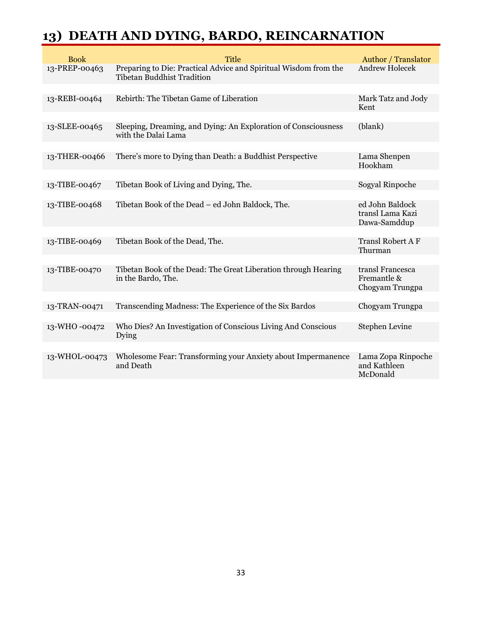## **13) DEATH AND DYING, BARDO, REINCARNATION**

| <b>Book</b>   | <b>Title</b>                                                                                          | <b>Author</b> / Translator                          |
|---------------|-------------------------------------------------------------------------------------------------------|-----------------------------------------------------|
| 13-PREP-00463 | Preparing to Die: Practical Advice and Spiritual Wisdom from the<br><b>Tibetan Buddhist Tradition</b> | <b>Andrew Holecek</b>                               |
|               |                                                                                                       |                                                     |
| 13-REBI-00464 | Rebirth: The Tibetan Game of Liberation                                                               | Mark Tatz and Jody<br>Kent                          |
|               |                                                                                                       |                                                     |
| 13-SLEE-00465 | Sleeping, Dreaming, and Dying: An Exploration of Consciousness<br>with the Dalai Lama                 | (blank)                                             |
|               |                                                                                                       |                                                     |
| 13-THER-00466 | There's more to Dying than Death: a Buddhist Perspective                                              | Lama Shenpen<br>Hookham                             |
|               |                                                                                                       |                                                     |
| 13-TIBE-00467 | Tibetan Book of Living and Dying, The.                                                                | Sogyal Rinpoche                                     |
| 13-TIBE-00468 | Tibetan Book of the Dead - ed John Baldock, The.                                                      | ed John Baldock<br>transl Lama Kazi<br>Dawa-Samddup |
|               |                                                                                                       |                                                     |
| 13-TIBE-00469 | Tibetan Book of the Dead, The.                                                                        | <b>Transl Robert A F</b><br>Thurman                 |
|               |                                                                                                       |                                                     |
| 13-TIBE-00470 | Tibetan Book of the Dead: The Great Liberation through Hearing<br>in the Bardo, The.                  | transl Francesca<br>Fremantle &<br>Chogyam Trungpa  |
|               |                                                                                                       |                                                     |
| 13-TRAN-00471 | Transcending Madness: The Experience of the Six Bardos                                                | Chogyam Trungpa                                     |
|               |                                                                                                       |                                                     |
| 13-WHO-00472  | Who Dies? An Investigation of Conscious Living And Conscious<br>Dying                                 | Stephen Levine                                      |
|               |                                                                                                       |                                                     |
| 13-WHOL-00473 | Wholesome Fear: Transforming your Anxiety about Impermanence<br>and Death                             | Lama Zopa Rinpoche<br>and Kathleen<br>McDonald      |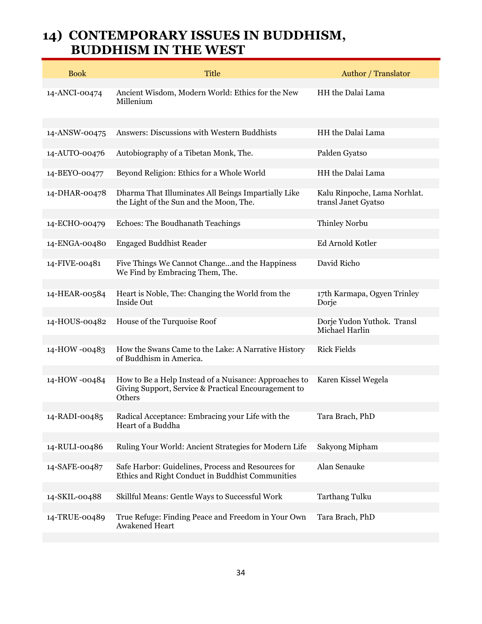#### **14) CONTEMPORARY ISSUES IN BUDDHISM, BUDDHISM IN THE WEST**

| <b>Book</b>   | <b>Title</b>                                                                                                            | <b>Author</b> / Translator                          |
|---------------|-------------------------------------------------------------------------------------------------------------------------|-----------------------------------------------------|
| 14-ANCI-00474 | Ancient Wisdom, Modern World: Ethics for the New<br>Millenium                                                           | HH the Dalai Lama                                   |
| 14-ANSW-00475 | Answers: Discussions with Western Buddhists                                                                             | HH the Dalai Lama                                   |
| 14-AUTO-00476 | Autobiography of a Tibetan Monk, The.                                                                                   | Palden Gyatso                                       |
| 14-BEYO-00477 | Beyond Religion: Ethics for a Whole World                                                                               | HH the Dalai Lama                                   |
| 14-DHAR-00478 | Dharma That Illuminates All Beings Impartially Like<br>the Light of the Sun and the Moon, The.                          | Kalu Rinpoche, Lama Norhlat.<br>transl Janet Gyatso |
| 14-ECHO-00479 | Echoes: The Boudhanath Teachings                                                                                        | <b>Thinley Norbu</b>                                |
| 14-ENGA-00480 | <b>Engaged Buddhist Reader</b>                                                                                          | Ed Arnold Kotler                                    |
| 14-FIVE-00481 | Five Things We Cannot Changeand the Happiness<br>We Find by Embracing Them, The.                                        | David Richo                                         |
| 14-HEAR-00584 | Heart is Noble, The: Changing the World from the<br>Inside Out                                                          | 17th Karmapa, Ogyen Trinley<br>Dorje                |
| 14-HOUS-00482 | House of the Turquoise Roof                                                                                             | Dorje Yudon Yuthok. Transl<br>Michael Harlin        |
| 14-HOW -00483 | How the Swans Came to the Lake: A Narrative History<br>of Buddhism in America.                                          | <b>Rick Fields</b>                                  |
| 14-HOW -00484 | How to Be a Help Instead of a Nuisance: Approaches to<br>Giving Support, Service & Practical Encouragement to<br>Others | Karen Kissel Wegela                                 |
| 14-RADI-00485 | Radical Acceptance: Embracing your Life with the<br>Heart of a Buddha                                                   | Tara Brach, PhD                                     |
| 14-RULI-00486 | Ruling Your World: Ancient Strategies for Modern Life                                                                   | Sakyong Mipham                                      |
| 14-SAFE-00487 | Safe Harbor: Guidelines, Process and Resources for<br>Ethics and Right Conduct in Buddhist Communities                  | Alan Senauke                                        |
| 14-SKIL-00488 | Skillful Means: Gentle Ways to Successful Work                                                                          | <b>Tarthang Tulku</b>                               |
| 14-TRUE-00489 | True Refuge: Finding Peace and Freedom in Your Own<br><b>Awakened Heart</b>                                             | Tara Brach, PhD                                     |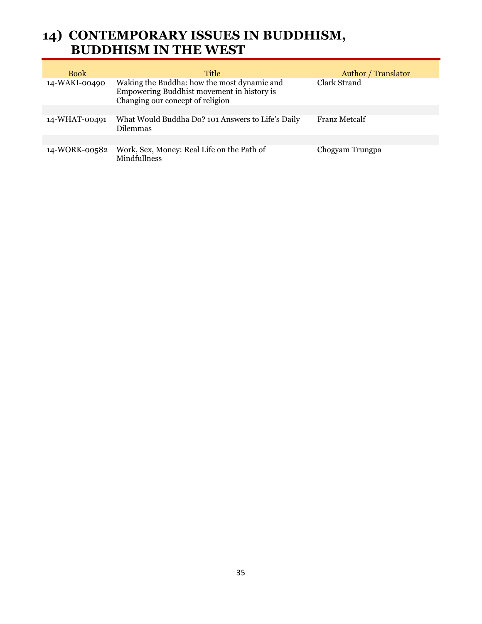#### **14) CONTEMPORARY ISSUES IN BUDDHISM, BUDDHISM IN THE WEST**

| <b>Book</b>   | Title                                                                                                                         | <b>Author</b> / Translator |
|---------------|-------------------------------------------------------------------------------------------------------------------------------|----------------------------|
| 14-WAKI-00490 | Waking the Buddha: how the most dynamic and<br>Empowering Buddhist movement in history is<br>Changing our concept of religion | Clark Strand               |
|               |                                                                                                                               |                            |
| 14-WHAT-00491 | What Would Buddha Do? 101 Answers to Life's Daily<br><b>Dilemmas</b>                                                          | <b>Franz Metcalf</b>       |
|               |                                                                                                                               |                            |
| 14-WORK-00582 | Work, Sex, Money: Real Life on the Path of<br>Mindfullness                                                                    | Chogyam Trungpa            |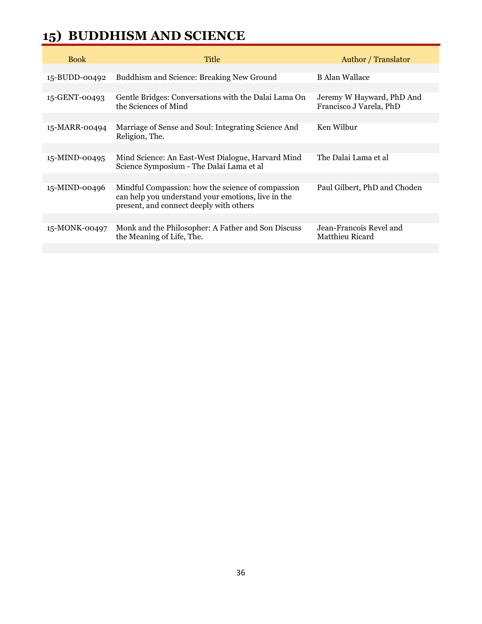## **15) BUDDHISM AND SCIENCE**

| <b>Book</b>   | Title                                                                                                                                              | <b>Author</b> / Translator                           |
|---------------|----------------------------------------------------------------------------------------------------------------------------------------------------|------------------------------------------------------|
|               |                                                                                                                                                    |                                                      |
| 15-BUDD-00492 | Buddhism and Science: Breaking New Ground                                                                                                          | <b>B</b> Alan Wallace                                |
|               |                                                                                                                                                    |                                                      |
| 15-GENT-00493 | Gentle Bridges: Conversations with the Dalai Lama On<br>the Sciences of Mind                                                                       | Jeremy W Hayward, PhD And<br>Francisco J Varela, PhD |
|               |                                                                                                                                                    |                                                      |
| 15-MARR-00494 | Marriage of Sense and Soul: Integrating Science And<br>Religion, The.                                                                              | Ken Wilbur                                           |
|               |                                                                                                                                                    |                                                      |
| 15-MIND-00495 | Mind Science: An East-West Dialogue, Harvard Mind<br>Science Symposium - The Dalai Lama et al                                                      | The Dalai Lama et al                                 |
|               |                                                                                                                                                    |                                                      |
| 15-MIND-00496 | Mindful Compassion: how the science of compassion<br>can help you understand your emotions, live in the<br>present, and connect deeply with others | Paul Gilbert, PhD and Choden                         |
|               |                                                                                                                                                    |                                                      |
| 15-MONK-00497 | Monk and the Philosopher: A Father and Son Discuss<br>the Meaning of Life, The.                                                                    | Jean-Francois Revel and<br>Matthieu Ricard           |
|               |                                                                                                                                                    |                                                      |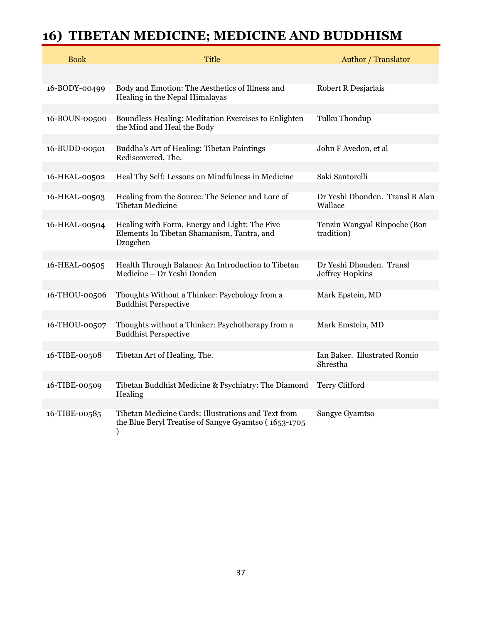## **16) TIBETAN MEDICINE; MEDICINE AND BUDDHISM**

| <b>Book</b>   | <b>Title</b>                                                                                            | <b>Author</b> / Translator                 |
|---------------|---------------------------------------------------------------------------------------------------------|--------------------------------------------|
|               |                                                                                                         |                                            |
| 16-BODY-00499 | Body and Emotion: The Aesthetics of Illness and<br>Healing in the Nepal Himalayas                       | Robert R Desjarlais                        |
| 16-BOUN-00500 | Boundless Healing: Meditation Exercises to Enlighten<br>the Mind and Heal the Body                      | Tulku Thondup                              |
| 16-BUDD-00501 | Buddha's Art of Healing: Tibetan Paintings<br>Rediscovered, The.                                        | John F Avedon, et al                       |
| 16-HEAL-00502 | Heal Thy Self: Lessons on Mindfulness in Medicine                                                       | Saki Santorelli                            |
|               |                                                                                                         |                                            |
| 16-HEAL-00503 | Healing from the Source: The Science and Lore of<br><b>Tibetan Medicine</b>                             | Dr Yeshi Dhonden. Transl B Alan<br>Wallace |
| 16-HEAL-00504 | Healing with Form, Energy and Light: The Five<br>Elements In Tibetan Shamanism, Tantra, and<br>Dzogchen | Tenzin Wangyal Rinpoche (Bon<br>tradition) |
| 16-HEAL-00505 | Health Through Balance: An Introduction to Tibetan                                                      | Dr Yeshi Dhonden. Transl                   |
|               | Medicine - Dr Yeshi Donden                                                                              | Jeffrey Hopkins                            |
|               |                                                                                                         |                                            |
| 16-THOU-00506 | Thoughts Without a Thinker: Psychology from a<br><b>Buddhist Perspective</b>                            | Mark Epstein, MD                           |
| 16-THOU-00507 | Thoughts without a Thinker: Psychotherapy from a                                                        | Mark Emstein, MD                           |
|               | <b>Buddhist Perspective</b>                                                                             |                                            |
|               |                                                                                                         |                                            |
| 16-TIBE-00508 | Tibetan Art of Healing, The.                                                                            | Ian Baker. Illustrated Romio<br>Shrestha   |
|               |                                                                                                         |                                            |
| 16-TIBE-00509 | Tibetan Buddhist Medicine & Psychiatry: The Diamond<br>Healing                                          | Terry Clifford                             |
| 16-TIBE-00585 | Tibetan Medicine Cards: Illustrations and Text from                                                     | Sangye Gyamtso                             |
|               | the Blue Beryl Treatise of Sangye Gyamtso (1653-1705<br>)                                               |                                            |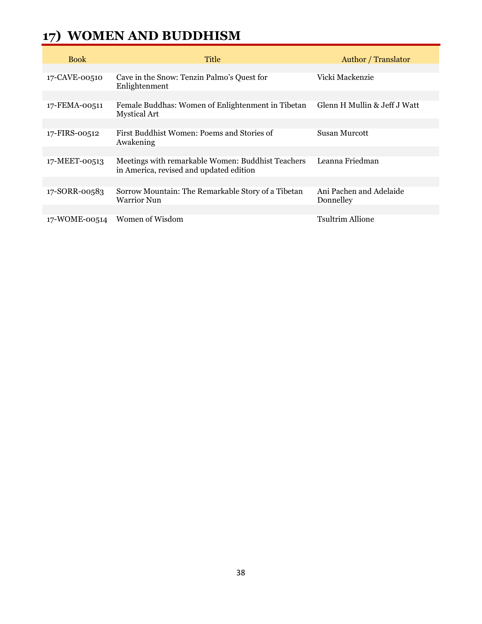## **17) WOMEN AND BUDDHISM**

| <b>Book</b>   | Title                                                                                        | <b>Author</b> / Translator           |
|---------------|----------------------------------------------------------------------------------------------|--------------------------------------|
|               |                                                                                              |                                      |
| 17-CAVE-00510 | Cave in the Snow: Tenzin Palmo's Quest for<br>Enlightenment                                  | Vicki Mackenzie                      |
|               |                                                                                              |                                      |
| 17-FEMA-00511 | Female Buddhas: Women of Enlightenment in Tibetan<br><b>Mystical Art</b>                     | Glenn H Mullin & Jeff J Watt         |
|               |                                                                                              |                                      |
| 17-FIRS-00512 | First Buddhist Women: Poems and Stories of<br>Awakening                                      | Susan Murcott                        |
|               |                                                                                              |                                      |
| 17-MEET-00513 | Meetings with remarkable Women: Buddhist Teachers<br>in America, revised and updated edition | Leanna Friedman                      |
|               |                                                                                              |                                      |
| 17-SORR-00583 | Sorrow Mountain: The Remarkable Story of a Tibetan<br><b>Warrior Nun</b>                     | Ani Pachen and Adelaide<br>Donnelley |
|               |                                                                                              |                                      |
| 17-WOME-00514 | Women of Wisdom                                                                              | Tsultrim Allione                     |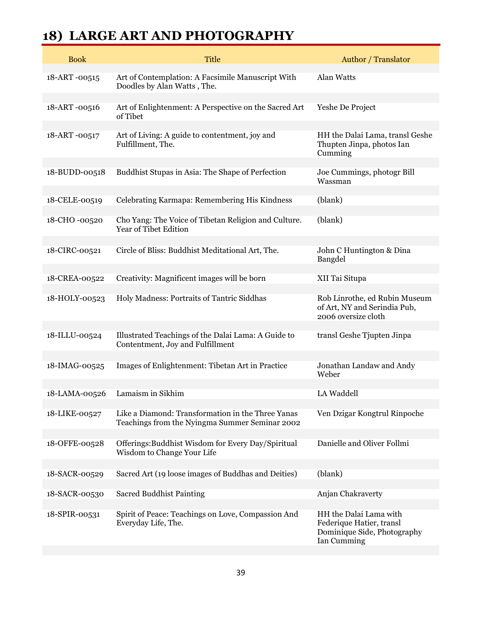## **18) LARGE ART AND PHOTOGRAPHY**

| <b>Book</b>   | <b>Title</b>                                                                                        | <b>Author</b> / Translator                                                                       |
|---------------|-----------------------------------------------------------------------------------------------------|--------------------------------------------------------------------------------------------------|
| 18-ART-00515  | Art of Contemplation: A Facsimile Manuscript With<br>Doodles by Alan Watts, The.                    | Alan Watts                                                                                       |
| 18-ART-00516  | Art of Enlightenment: A Perspective on the Sacred Art<br>of Tibet                                   | Yeshe De Project                                                                                 |
| 18-ART-00517  | Art of Living: A guide to contentment, joy and<br>Fulfillment, The.                                 | HH the Dalai Lama, transl Geshe<br>Thupten Jinpa, photos Ian<br>Cumming                          |
| 18-BUDD-00518 | Buddhist Stupas in Asia: The Shape of Perfection                                                    | Joe Cummings, photogr Bill<br>Wassman                                                            |
| 18-CELE-00519 | Celebrating Karmapa: Remembering His Kindness                                                       | (blank)                                                                                          |
| 18-CHO -00520 | Cho Yang: The Voice of Tibetan Religion and Culture.<br>Year of Tibet Edition                       | (blank)                                                                                          |
| 18-CIRC-00521 | Circle of Bliss: Buddhist Meditational Art, The.                                                    | John C Huntington & Dina<br>Bangdel                                                              |
| 18-CREA-00522 | Creativity: Magnificent images will be born                                                         | XII Tai Situpa                                                                                   |
| 18-HOLY-00523 | Holy Madness: Portraits of Tantric Siddhas                                                          | Rob Linrothe, ed Rubin Museum<br>of Art, NY and Serindia Pub,<br>2006 oversize cloth             |
| 18-ILLU-00524 | Illustrated Teachings of the Dalai Lama: A Guide to<br>Contentment, Joy and Fulfillment             | transl Geshe Tjupten Jinpa                                                                       |
| 18-IMAG-00525 | Images of Enlightenment: Tibetan Art in Practice                                                    | Jonathan Landaw and Andy<br>Weber                                                                |
| 18-LAMA-00526 | Lamaism in Sikhim                                                                                   | LA Waddell                                                                                       |
| 18-LIKE-00527 | Like a Diamond: Transformation in the Three Yanas<br>Teachings from the Nyingma Summer Seminar 2002 | Ven Dzigar Kongtrul Rinpoche                                                                     |
| 18-OFFE-00528 | Offerings: Buddhist Wisdom for Every Day/Spiritual<br>Wisdom to Change Your Life                    | Danielle and Oliver Follmi                                                                       |
| 18-SACR-00529 | Sacred Art (19 loose images of Buddhas and Deities)                                                 | (blank)                                                                                          |
| 18-SACR-00530 | <b>Sacred Buddhist Painting</b>                                                                     | Anjan Chakraverty                                                                                |
| 18-SPIR-00531 | Spirit of Peace: Teachings on Love, Compassion And<br>Everyday Life, The.                           | HH the Dalai Lama with<br>Federique Hatier, transl<br>Dominique Side, Photography<br>Ian Cumming |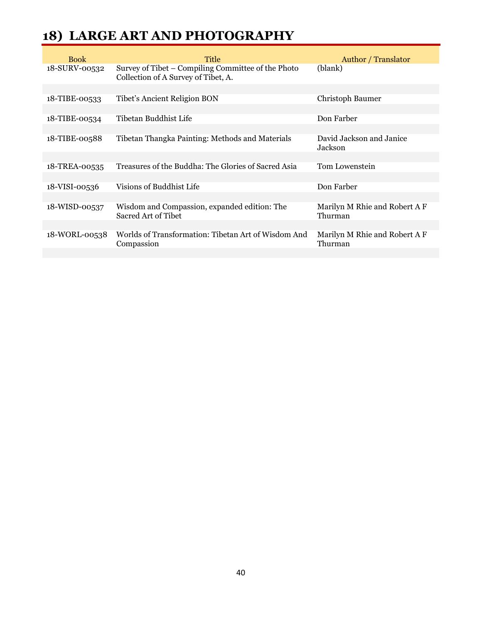#### **18) LARGE ART AND PHOTOGRAPHY**

| <b>Book</b>   | Title                                                                                     | <b>Author</b> / Translator               |
|---------------|-------------------------------------------------------------------------------------------|------------------------------------------|
| 18-SURV-00532 | Survey of Tibet – Compiling Committee of the Photo<br>Collection of A Survey of Tibet, A. | (blank)                                  |
|               |                                                                                           |                                          |
| 18-TIBE-00533 | Tibet's Ancient Religion BON                                                              | Christoph Baumer                         |
|               |                                                                                           |                                          |
| 18-TIBE-00534 | Tibetan Buddhist Life                                                                     | Don Farber                               |
|               |                                                                                           |                                          |
| 18-TIBE-00588 | Tibetan Thangka Painting: Methods and Materials                                           | David Jackson and Janice<br>Jackson      |
|               |                                                                                           |                                          |
| 18-TREA-00535 | Treasures of the Buddha: The Glories of Sacred Asia                                       | Tom Lowenstein                           |
|               |                                                                                           |                                          |
| 18-VISI-00536 | Visions of Buddhist Life                                                                  | Don Farber                               |
|               |                                                                                           |                                          |
| 18-WISD-00537 | Wisdom and Compassion, expanded edition: The<br>Sacred Art of Tibet                       | Marilyn M Rhie and Robert A F<br>Thurman |
|               |                                                                                           |                                          |
| 18-WORL-00538 | Worlds of Transformation: Tibetan Art of Wisdom And<br>Compassion                         | Marilyn M Rhie and Robert A F<br>Thurman |
|               |                                                                                           |                                          |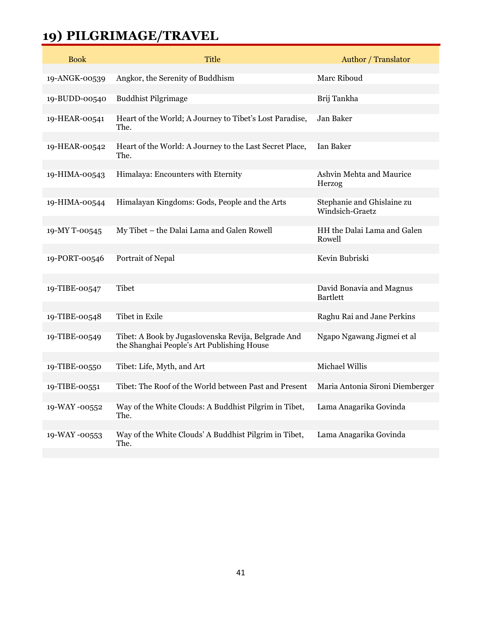## **19) PILGRIMAGE/TRAVEL**

| <b>Book</b>   | <b>Title</b>                                                                                      | <b>Author</b> / Translator                  |
|---------------|---------------------------------------------------------------------------------------------------|---------------------------------------------|
| 19-ANGK-00539 | Angkor, the Serenity of Buddhism                                                                  | Marc Riboud                                 |
| 19-BUDD-00540 | <b>Buddhist Pilgrimage</b>                                                                        | Brij Tankha                                 |
| 19-HEAR-00541 | Heart of the World; A Journey to Tibet's Lost Paradise,<br>The.                                   | Jan Baker                                   |
| 19-HEAR-00542 | Heart of the World: A Journey to the Last Secret Place,<br>The.                                   | Ian Baker                                   |
| 19-HIMA-00543 | Himalaya: Encounters with Eternity                                                                | Ashvin Mehta and Maurice<br>Herzog          |
| 19-HIMA-00544 | Himalayan Kingdoms: Gods, People and the Arts                                                     | Stephanie and Ghislaine zu                  |
|               |                                                                                                   | Windsich-Graetz                             |
| 19-MY T-00545 | My Tibet - the Dalai Lama and Galen Rowell                                                        | HH the Dalai Lama and Galen<br>Rowell       |
| 19-PORT-00546 | Portrait of Nepal                                                                                 | Kevin Bubriski                              |
|               |                                                                                                   |                                             |
| 19-TIBE-00547 | <b>Tibet</b>                                                                                      | David Bonavia and Magnus<br><b>Bartlett</b> |
| 19-TIBE-00548 | Tibet in Exile                                                                                    | Raghu Rai and Jane Perkins                  |
| 19-TIBE-00549 | Tibet: A Book by Jugaslovenska Revija, Belgrade And<br>the Shanghai People's Art Publishing House | Ngapo Ngawang Jigmei et al                  |
| 19-TIBE-00550 | Tibet: Life, Myth, and Art                                                                        | Michael Willis                              |
| 19-TIBE-00551 | Tibet: The Roof of the World between Past and Present                                             | Maria Antonia Sironi Diemberger             |
|               |                                                                                                   |                                             |
| 19-WAY-00552  | Way of the White Clouds: A Buddhist Pilgrim in Tibet,<br>The.                                     | Lama Anagarika Govinda                      |
| 19-WAY-00553  | Way of the White Clouds' A Buddhist Pilgrim in Tibet,                                             | Lama Anagarika Govinda                      |
|               | The.                                                                                              |                                             |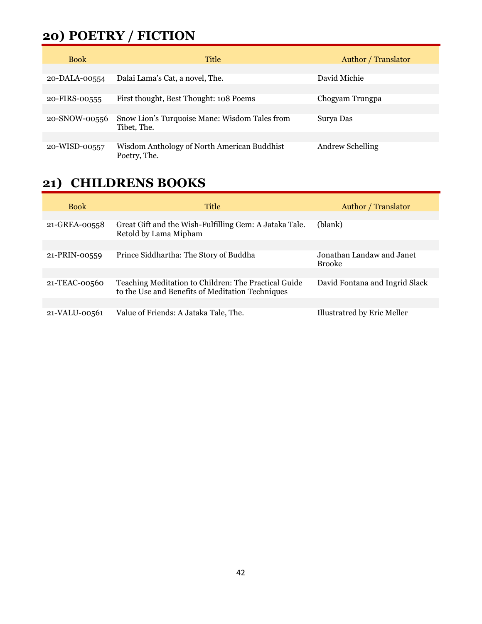#### **20) POETRY / FICTION**

| <b>Book</b>   | Title                                                       | <b>Author</b> / Translator |
|---------------|-------------------------------------------------------------|----------------------------|
| 20-DALA-00554 | Dalai Lama's Cat, a novel, The.                             | David Michie               |
| 20-FIRS-00555 | First thought, Best Thought: 108 Poems                      | Chogyam Trungpa            |
| 20-SNOW-00556 | Snow Lion's Turquoise Mane: Wisdom Tales from               | Surva Das                  |
|               | Tibet, The.                                                 |                            |
| 20-WISD-00557 | Wisdom Anthology of North American Buddhist<br>Poetry, The. | <b>Andrew Schelling</b>    |

#### **21) CHILDRENS BOOKS**

| <b>Book</b>   | Title                                                                                                    | Author / Translator                        |
|---------------|----------------------------------------------------------------------------------------------------------|--------------------------------------------|
|               |                                                                                                          |                                            |
| 21-GREA-00558 | Great Gift and the Wish-Fulfilling Gem: A Jataka Tale.<br>Retold by Lama Mipham                          | (blank)                                    |
|               |                                                                                                          |                                            |
| 21-PRIN-00559 | Prince Siddhartha: The Story of Buddha                                                                   | Jonathan Landaw and Janet<br><b>Brooke</b> |
|               |                                                                                                          |                                            |
| 21-TEAC-00560 | Teaching Meditation to Children: The Practical Guide<br>to the Use and Benefits of Meditation Techniques | David Fontana and Ingrid Slack             |
|               |                                                                                                          |                                            |
| 21-VALU-00561 | Value of Friends: A Jataka Tale, The.                                                                    | Illustratred by Eric Meller                |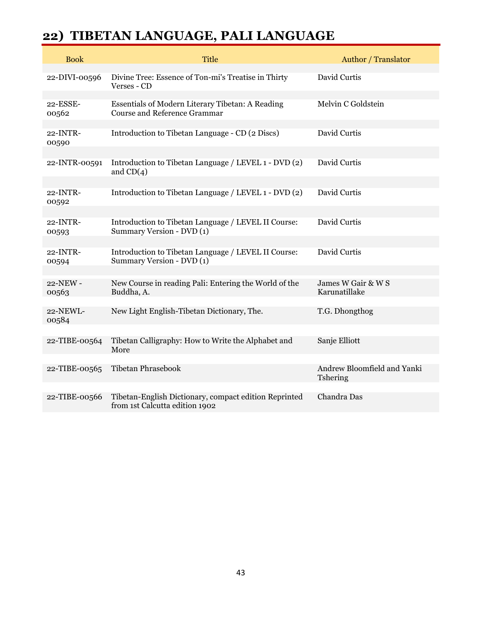## **22) TIBETAN LANGUAGE, PALI LANGUAGE**

| <b>Book</b>       | <b>Title</b>                                                                            | <b>Author</b> / Translator              |
|-------------------|-----------------------------------------------------------------------------------------|-----------------------------------------|
| 22-DIVI-00596     | Divine Tree: Essence of Ton-mi's Treatise in Thirty<br>Verses - CD                      | David Curtis                            |
| 22-ESSE-<br>00562 | Essentials of Modern Literary Tibetan: A Reading<br><b>Course and Reference Grammar</b> | Melvin C Goldstein                      |
| 22-INTR-<br>00590 | Introduction to Tibetan Language - CD (2 Discs)                                         | David Curtis                            |
| 22-INTR-00591     | Introduction to Tibetan Language / LEVEL 1 - DVD (2)<br>and $CD(4)$                     | David Curtis                            |
| 22-INTR-<br>00592 | Introduction to Tibetan Language / LEVEL 1 - DVD (2)                                    | David Curtis                            |
| 22-INTR-<br>00593 | Introduction to Tibetan Language / LEVEL II Course:<br>Summary Version - DVD (1)        | David Curtis                            |
| 22-INTR-<br>00594 | Introduction to Tibetan Language / LEVEL II Course:<br>Summary Version - DVD (1)        | David Curtis                            |
| 22-NEW-<br>00563  | New Course in reading Pali: Entering the World of the<br>Buddha, A.                     | James W Gair & W S<br>Karunatillake     |
| 22-NEWL-<br>00584 | New Light English-Tibetan Dictionary, The.                                              | T.G. Dhongthog                          |
| 22-TIBE-00564     | Tibetan Calligraphy: How to Write the Alphabet and<br>More                              | Sanje Elliott                           |
| 22-TIBE-00565     | <b>Tibetan Phrasebook</b>                                                               | Andrew Bloomfield and Yanki<br>Tshering |
| 22-TIBE-00566     | Tibetan-English Dictionary, compact edition Reprinted<br>from 1st Calcutta edition 1902 | Chandra Das                             |